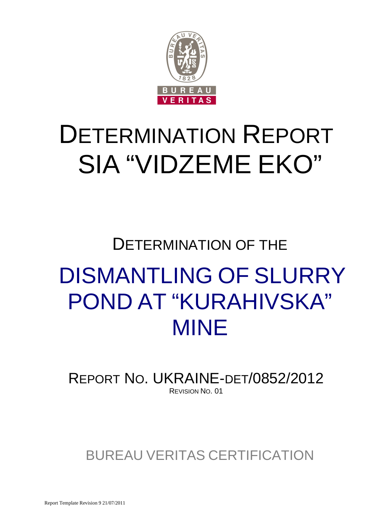

# DETERMINATION REPORT SIA "VIDZEME EKO"

# DETERMINATION OF THE DISMANTLING OF SLURRY POND AT "KURAHIVSKA" MINE

REPORT NO. UKRAINE-DET/0852/2012 REVISION NO. 01

BUREAU VERITAS CERTIFICATION

Report Template Revision 9 21/07/2011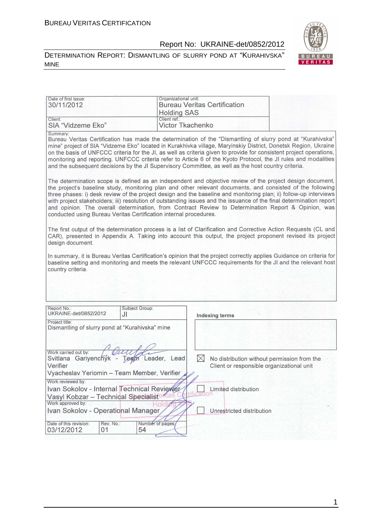#### DETERMINATION REPORT: DISMANTLING OF SLURRY POND AT "KURAHIVSKA" MINE



| Date of first issue:<br>30/11/2012                                                                                                      |                        | Organizational unit:<br><b>Bureau Veritas Certification</b>                                                                                                                                                                                                                                                                                                                                                                                                                                                                                                                   |
|-----------------------------------------------------------------------------------------------------------------------------------------|------------------------|-------------------------------------------------------------------------------------------------------------------------------------------------------------------------------------------------------------------------------------------------------------------------------------------------------------------------------------------------------------------------------------------------------------------------------------------------------------------------------------------------------------------------------------------------------------------------------|
|                                                                                                                                         |                        | <b>Holding SAS</b>                                                                                                                                                                                                                                                                                                                                                                                                                                                                                                                                                            |
| Client:<br>SIA "Vidzeme Eko"                                                                                                            | Client ref.:           | <b>Victor Tkachenko</b>                                                                                                                                                                                                                                                                                                                                                                                                                                                                                                                                                       |
| Summary:                                                                                                                                |                        | Bureau Veritas Certification has made the determination of the "Dismantling of slurry pond at "Kurahivska"<br>mine" project of SIA "Vidzeme Eko" located in Kurakhivka village, Maryinskiy District, Donetsk Region, Ukraine<br>on the basis of UNFCCC criteria for the JI, as well as criteria given to provide for consistent project operations,<br>monitoring and reporting. UNFCCC criteria refer to Article 6 of the Kyoto Protocol, the JI rules and modalities<br>and the subsequent decisions by the JI Supervisory Committee, as well as the host country criteria. |
| conducted using Bureau Veritas Certification internal procedures.                                                                       |                        | The determination scope is defined as an independent and objective review of the project design document,<br>the project's baseline study, monitoring plan and other relevant documents, and consisted of the following<br>three phases: i) desk review of the project design and the baseline and monitoring plan; ii) follow-up interviews<br>with project stakeholders; iii) resolution of outstanding issues and the issuance of the final determination report<br>and opinion. The overall determination, from Contract Review to Determination Report & Opinion, was    |
| design document.                                                                                                                        |                        | The first output of the determination process is a list of Clarification and Corrective Action Requests (CL and<br>CAR), presented in Appendix A. Taking into account this output, the project proponent revised its project                                                                                                                                                                                                                                                                                                                                                  |
| country criteria.                                                                                                                       |                        | In summary, it is Bureau Veritas Certification's opinion that the project correctly applies Guidance on criteria for<br>baseline setting and monitoring and meets the relevant UNFCCC requirements for the JI and the relevant host                                                                                                                                                                                                                                                                                                                                           |
|                                                                                                                                         |                        |                                                                                                                                                                                                                                                                                                                                                                                                                                                                                                                                                                               |
| Report No.:<br>UKRAINE-det/0852/2012                                                                                                    | Subject Group:<br>JI   | <b>Indexing terms</b>                                                                                                                                                                                                                                                                                                                                                                                                                                                                                                                                                         |
| Project title:<br>Dismantling of slurry pond at "Kurahivska" mine                                                                       |                        |                                                                                                                                                                                                                                                                                                                                                                                                                                                                                                                                                                               |
|                                                                                                                                         |                        |                                                                                                                                                                                                                                                                                                                                                                                                                                                                                                                                                                               |
| Work carried out by: Celly Contract Svitlana Gariyenchyk - Team Leader, Lead<br>Verifier<br>Vyacheslav Yeriomin - Team Member, Verifier |                        | $\bowtie$<br>No distribution without permission from the<br>Client or responsible organizational unit                                                                                                                                                                                                                                                                                                                                                                                                                                                                         |
| Work reviewed by:<br>Ivan Sokolov - Internal Technical Reviewer                                                                         |                        | Limited distribution                                                                                                                                                                                                                                                                                                                                                                                                                                                                                                                                                          |
| Vasyl Kobzar - Technical Specialist                                                                                                     |                        |                                                                                                                                                                                                                                                                                                                                                                                                                                                                                                                                                                               |
| Work approved by:<br>Ivan Sokolov - Operational Manager                                                                                 |                        | Unrestricted distribution                                                                                                                                                                                                                                                                                                                                                                                                                                                                                                                                                     |
| Date of this revision:<br>Rev. No.:<br>03/12/2012<br>01                                                                                 | Number of pages;<br>54 |                                                                                                                                                                                                                                                                                                                                                                                                                                                                                                                                                                               |

1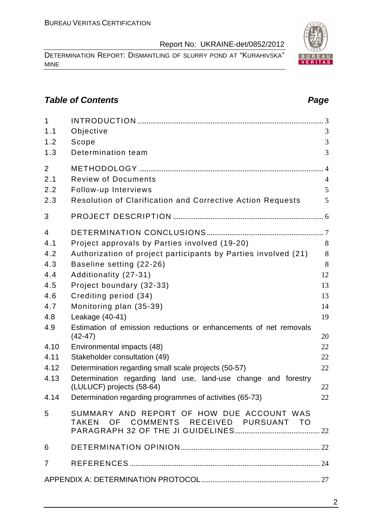DETERMINATION REPORT: DISMANTLING OF SLURRY POND AT "KURAHIVSKA" MINE

# **Table of Contents Page 2014**

| $\mathbf{1}$   |                                                                                     |                |
|----------------|-------------------------------------------------------------------------------------|----------------|
| 1.1            | Objective                                                                           | 3              |
| 1.2            | Scope                                                                               | 3              |
| 1.3            | Determination team                                                                  | 3              |
| $\overline{2}$ |                                                                                     |                |
| 2.1            | <b>Review of Documents</b>                                                          | $\overline{4}$ |
| 2.2            | Follow-up Interviews                                                                | 5              |
| 2.3            | <b>Resolution of Clarification and Corrective Action Requests</b>                   | 5              |
| 3              |                                                                                     |                |
| 4              |                                                                                     |                |
| 4.1            | Project approvals by Parties involved (19-20)                                       | 8              |
| 4.2            | Authorization of project participants by Parties involved (21)                      | 8              |
| 4.3            | Baseline setting (22-26)                                                            | 8              |
| 4.4            | Additionality (27-31)                                                               | 12             |
| 4.5            | Project boundary (32-33)                                                            | 13             |
| 4.6            | Crediting period (34)                                                               | 13             |
| 4.7            | Monitoring plan (35-39)                                                             | 14             |
| 4.8            | Leakage (40-41)                                                                     | 19             |
| 4.9            | Estimation of emission reductions or enhancements of net removals<br>$(42-47)$      | 20             |
| 4.10           | Environmental impacts (48)                                                          | 22             |
| 4.11           | Stakeholder consultation (49)                                                       | 22             |
| 4.12           | Determination regarding small scale projects (50-57)                                | 22             |
| 4.13           | Determination regarding land use, land-use change and forestry                      |                |
|                | (LULUCF) projects (58-64)                                                           | 22             |
| 4.14           | Determination regarding programmes of activities (65-73)                            | 22             |
| 5              | SUMMARY AND REPORT OF HOW DUE ACCOUNT WAS<br>TAKEN OF COMMENTS RECEIVED PURSUANT TO |                |
| 6              |                                                                                     |                |
|                |                                                                                     |                |
| $\overline{7}$ |                                                                                     |                |
|                |                                                                                     |                |

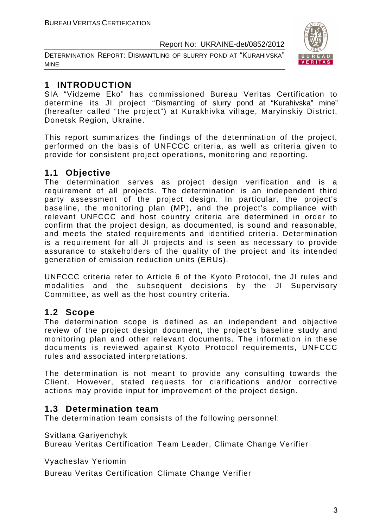DETERMINATION REPORT: DISMANTLING OF SLURRY POND AT "KURAHIVSKA" MINE



# **1 INTRODUCTION**

SIA "Vidzeme Eko" has commissioned Bureau Veritas Certification to determine its JI project "Dismantling of slurry pond at "Kurahivska" mine" (hereafter called "the project") at Kurakhivka village, Maryinskiy District, Donetsk Region, Ukraine.

This report summarizes the findings of the determination of the project, performed on the basis of UNFCCC criteria, as well as criteria given to provide for consistent project operations, monitoring and reporting.

# **1.1 Objective**

The determination serves as project design verification and is a requirement of all projects. The determination is an independent third party assessment of the project design. In particular, the project's baseline, the monitoring plan (MP), and the project's compliance with relevant UNFCCC and host country criteria are determined in order to confirm that the project design, as documented, is sound and reasonable, and meets the stated requirements and identified criteria. Determination is a requirement for all JI projects and is seen as necessary to provide assurance to stakeholders of the quality of the project and its intended generation of emission reduction units (ERUs).

UNFCCC criteria refer to Article 6 of the Kyoto Protocol, the JI rules and modalities and the subsequent decisions by the JI Supervisory Committee, as well as the host country criteria.

# **1.2 Scope**

The determination scope is defined as an independent and objective review of the project design document, the project's baseline study and monitoring plan and other relevant documents. The information in these documents is reviewed against Kyoto Protocol requirements, UNFCCC rules and associated interpretations.

The determination is not meant to provide any consulting towards the Client. However, stated requests for clarifications and/or corrective actions may provide input for improvement of the project design.

# **1.3 Determination team**

The determination team consists of the following personnel:

Svitlana Gariyenchyk

Bureau Veritas Certification Team Leader, Climate Change Verifier

Vyacheslav Yeriomin

Bureau Veritas Certification Climate Change Verifier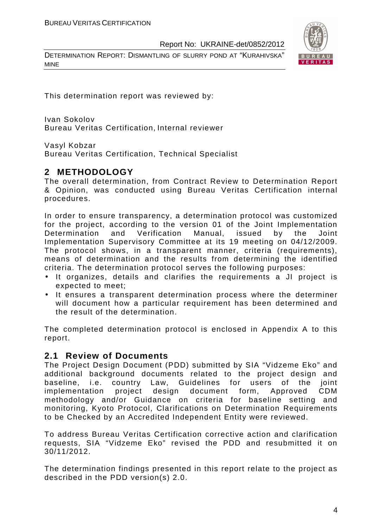DETERMINATION REPORT: DISMANTLING OF SLURRY POND AT "KURAHIVSKA" MINE



This determination report was reviewed by:

Ivan Sokolov Bureau Veritas Certification, Internal reviewer

Vasyl Kobzar

Bureau Veritas Certification, Technical Specialist

# **2 METHODOLOGY**

The overall determination, from Contract Review to Determination Report & Opinion, was conducted using Bureau Veritas Certification internal procedures.

In order to ensure transparency, a determination protocol was customized for the project, according to the version 01 of the Joint Implementation Determination and Verification Manual, issued by the Joint Implementation Supervisory Committee at its 19 meeting on 04/12/2009. The protocol shows, in a transparent manner, criteria (requirements), means of determination and the results from determining the identified criteria. The determination protocol serves the following purposes:

- It organizes, details and clarifies the requirements a JI project is expected to meet;
- It ensures a transparent determination process where the determiner will document how a particular requirement has been determined and the result of the determination.

The completed determination protocol is enclosed in Appendix A to this report.

### **2.1 Review of Documents**

The Project Design Document (PDD) submitted by SIA "Vidzeme Eko" and additional background documents related to the project design and baseline, i.e. country Law, Guidelines for users of the joint implementation project design document form, Approved CDM methodology and/or Guidance on criteria for baseline setting and monitoring, Kyoto Protocol, Clarifications on Determination Requirements to be Checked by an Accredited Independent Entity were reviewed.

To address Bureau Veritas Certification corrective action and clarification requests, SIA "Vidzeme Eko" revised the PDD and resubmitted it on 30/11/2012.

The determination findings presented in this report relate to the project as described in the PDD version(s) 2.0.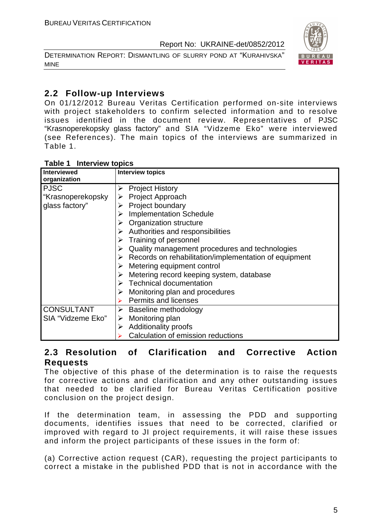DETERMINATION REPORT: DISMANTLING OF SLURRY POND AT "KURAHIVSKA" MINE



# **2.2 Follow-up Interviews**

On 01/12/2012 Bureau Veritas Certification performed on-site interviews with project stakeholders to confirm selected information and to resolve issues identified in the document review. Representatives of PJSC "Krasnoperekopsky glass factory" and SIA "Vidzeme Eko" were interviewed (see References). The main topics of the interviews are summarized in Table 1.

| <b>Interview topics</b><br>Table 1 |  |
|------------------------------------|--|
|------------------------------------|--|

| <b>Interviewed</b><br>organization | <b>Interview topics</b>                                                |
|------------------------------------|------------------------------------------------------------------------|
| <b>PJSC</b>                        | <b>Project History</b><br>➤                                            |
| "Krasnoperekopsky                  | $\triangleright$ Project Approach                                      |
| glass factory"                     | <b>Project boundary</b>                                                |
|                                    | <b>Implementation Schedule</b>                                         |
|                                    | $\triangleright$ Organization structure                                |
|                                    | $\triangleright$ Authorities and responsibilities                      |
|                                    | $\triangleright$ Training of personnel                                 |
|                                    | Quality management procedures and technologies                         |
|                                    | $\triangleright$ Records on rehabilitation/implementation of equipment |
|                                    | $\triangleright$ Metering equipment control                            |
|                                    | Metering record keeping system, database                               |
|                                    | $\triangleright$ Technical documentation                               |
|                                    | Monitoring plan and procedures                                         |
|                                    | <b>Permits and licenses</b>                                            |
| <b>CONSULTANT</b>                  | $\triangleright$ Baseline methodology                                  |
| SIA "Vidzeme Eko"                  | Monitoring plan<br>➤                                                   |
|                                    | <b>Additionality proofs</b><br>➤                                       |
|                                    | Calculation of emission reductions                                     |

# **2.3 Resolution of Clarification and Corrective Action Requests**

The objective of this phase of the determination is to raise the requests for corrective actions and clarification and any other outstanding issues that needed to be clarified for Bureau Veritas Certification positive conclusion on the project design.

If the determination team, in assessing the PDD and supporting documents, identifies issues that need to be corrected, clarified or improved with regard to JI project requirements, it will raise these issues and inform the project participants of these issues in the form of:

(a) Corrective action request (CAR), requesting the project participants to correct a mistake in the published PDD that is not in accordance with the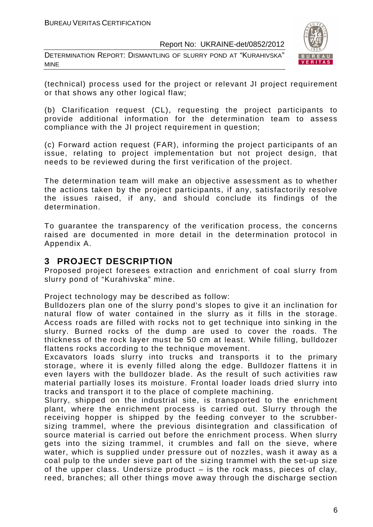DETERMINATION REPORT: DISMANTLING OF SLURRY POND AT "KURAHIVSKA" MINE



(technical) process used for the project or relevant JI project requirement or that shows any other logical flaw;

(b) Clarification request (CL), requesting the project participants to provide additional information for the determination team to assess compliance with the JI project requirement in question;

(c) Forward action request (FAR), informing the project participants of an issue, relating to project implementation but not project design, that needs to be reviewed during the first verification of the project.

The determination team will make an objective assessment as to whether the actions taken by the project participants, if any, satisfactorily resolve the issues raised, if any, and should conclude its findings of the determination.

To guarantee the transparency of the verification process, the concerns raised are documented in more detail in the determination protocol in Appendix A.

# **3 PROJECT DESCRIPTION**

Proposed project foresees extraction and enrichment of coal slurry from slurry pond of "Kurahivska" mine.

Project technology may be described as follow:

Bulldozers plan one of the slurry pond's slopes to give it an inclination for natural flow of water contained in the slurry as it fills in the storage. Access roads are filled with rocks not to get technique into sinking in the slurry. Burned rocks of the dump are used to cover the roads. The thickness of the rock layer must be 50 cm at least. While filling, bulldozer flattens rocks according to the technique movement.

Excavators loads slurry into trucks and transports it to the primary storage, where it is evenly filled along the edge. Bulldozer flattens it in even layers with the bulldozer blade. As the result of such activities raw material partially loses its moisture. Frontal loader loads dried slurry into tracks and transport it to the place of complete machining.

Slurry, shipped on the industrial site, is transported to the enrichment plant, where the enrichment process is carried out. Slurry through the receiving hopper is shipped by the feeding conveyer to the scrubbersizing trammel, where the previous disintegration and classification of source material is carried out before the enrichment process. When slurry gets into the sizing trammel, it crumbles and fall on the sieve, where water, which is supplied under pressure out of nozzles, wash it away as a coal pulp to the under sieve part of the sizing trammel with the set-up size of the upper class. Undersize product – is the rock mass, pieces of clay, reed, branches; all other things move away through the discharge section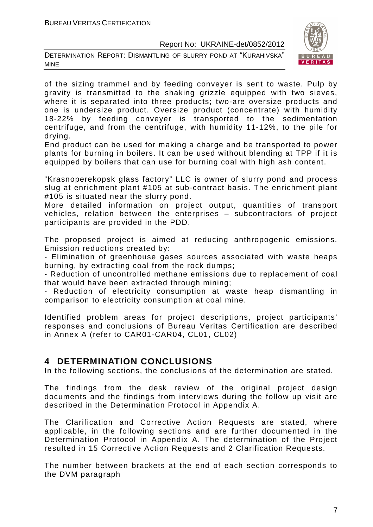DETERMINATION REPORT: DISMANTLING OF SLURRY POND AT "KURAHIVSKA" MINE



of the sizing trammel and by feeding conveyer is sent to waste. Pulp by gravity is transmitted to the shaking grizzle equipped with two sieves, where it is separated into three products; two-are oversize products and one is undersize product. Oversize product (concentrate) with humidity 18-22% by feeding conveyer is transported to the sedimentation centrifuge, and from the centrifuge, with humidity 11-12%, to the pile for drying.

End product can be used for making a charge and be transported to power plants for burning in boilers. It can be used without blending at TPP if it is equipped by boilers that can use for burning coal with high ash content.

"Krasnoperekopsk glass factory" LLC is owner of slurry pond and process slug at enrichment plant #105 at sub-contract basis. The enrichment plant #105 is situated near the slurry pond.

More detailed information on project output, quantities of transport vehicles, relation between the enterprises – subcontractors of project participants are provided in the PDD.

The proposed project is aimed at reducing anthropogenic emissions. Emission reductions created by:

- Elimination of greenhouse gases sources associated with waste heaps burning, by extracting coal from the rock dumps;

- Reduction of uncontrolled methane emissions due to replacement of coal that would have been extracted through mining;

- Reduction of electricity consumption at waste heap dismantling in comparison to electricity consumption at coal mine.

Identified problem areas for project descriptions, project participants' responses and conclusions of Bureau Veritas Certification are described in Annex A (refer to CAR01-CAR04, CL01, CL02)

# **4 DETERMINATION CONCLUSIONS**

In the following sections, the conclusions of the determination are stated.

The findings from the desk review of the original project design documents and the findings from interviews during the follow up visit are described in the Determination Protocol in Appendix A.

The Clarification and Corrective Action Requests are stated, where applicable, in the following sections and are further documented in the Determination Protocol in Appendix A. The determination of the Project resulted in 15 Corrective Action Requests and 2 Clarification Requests.

The number between brackets at the end of each section corresponds to the DVM paragraph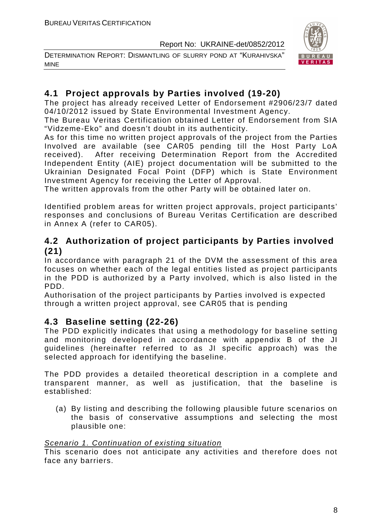DETERMINATION REPORT: DISMANTLING OF SLURRY POND AT "KURAHIVSKA" MINE



# **4.1 Project approvals by Parties involved (19-20)**

The project has already received Letter of Endorsement #2906/23/7 dated 04/10/2012 issued by State Environmental Investment Agency.

The Bureau Veritas Certification obtained Letter of Endorsement from SIA "Vidzeme-Eko" and doesn't doubt in its authenticity.

As for this time no written project approvals of the project from the Parties Involved are available (see CAR05 pending till the Host Party LoA received). After receiving Determination Report from the Accredited Independent Entity (AIE) project documentation will be submitted to the Ukrainian Designated Focal Point (DFP) which is State Environment Investment Agency for receiving the Letter of Approval.

The written approvals from the other Party will be obtained later on.

Identified problem areas for written project approvals, project participants' responses and conclusions of Bureau Veritas Certification are described in Annex A (refer to CAR05).

# **4.2 Authorization of project participants by Parties involved (21)**

In accordance with paragraph 21 of the DVM the assessment of this area focuses on whether each of the legal entities listed as project participants in the PDD is authorized by a Party involved, which is also listed in the PDD.

Authorisation of the project participants by Parties involved is expected through a written project approval, see CAR05 that is pending

# **4.3 Baseline setting (22-26)**

The PDD explicitly indicates that using a methodology for baseline setting and monitoring developed in accordance with appendix B of the JI guidelines (hereinafter referred to as JI specific approach) was the selected approach for identifying the baseline.

The PDD provides a detailed theoretical description in a complete and transparent manner, as well as justification, that the baseline is established:

(a) By listing and describing the following plausible future scenarios on the basis of conservative assumptions and selecting the most plausible one:

### Scenario 1. Continuation of existing situation

This scenario does not anticipate any activities and therefore does not face any barriers.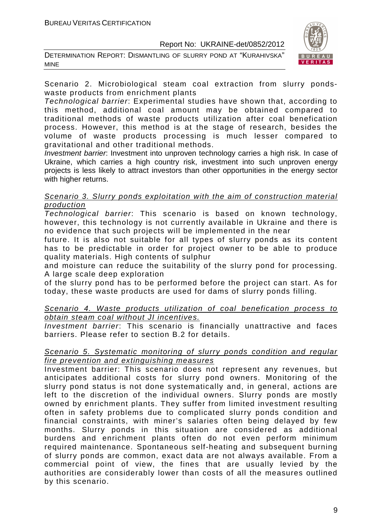DETERMINATION REPORT: DISMANTLING OF SLURRY POND AT "KURAHIVSKA" MINE



Scenario 2. Microbiological steam coal extraction from slurry pondswaste products from enrichment plants

Technological barrier: Experimental studies have shown that, according to this method, additional coal amount may be obtained compared to traditional methods of waste products utilization after coal benefication process. However, this method is at the stage of research, besides the volume of waste products processing is much lesser compared to gravitational and other traditional methods.

Investment barrier: Investment into unproven technology carries a high risk. In case of Ukraine, which carries a high country risk, investment into such unproven energy projects is less likely to attract investors than other opportunities in the energy sector with higher returns.

#### Scenario 3. Slurry ponds exploitation with the aim of construction material production

Technological barrier: This scenario is based on known technology, however, this technology is not currently available in Ukraine and there is no evidence that such projects will be implemented in the near

future. It is also not suitable for all types of slurry ponds as its content has to be predictable in order for project owner to be able to produce quality materials. High contents of sulphur

and moisture can reduce the suitability of the slurry pond for processing. A large scale deep exploration

of the slurry pond has to be performed before the project can start. As for today, these waste products are used for dams of slurry ponds filling.

Scenario 4. Waste products utilization of coal benefication process to obtain steam coal without JI incentives.

Investment barrier: This scenario is financially unattractive and faces barriers. Please refer to section B.2 for details.

#### Scenario 5. Systematic monitoring of slurry ponds condition and regular fire prevention and extinguishing measures

Investment barrier: This scenario does not represent any revenues, but anticipates additional costs for slurry pond owners. Monitoring of the slurry pond status is not done systematically and, in general, actions are left to the discretion of the individual owners. Slurry ponds are mostly owned by enrichment plants. They suffer from limited investment resulting often in safety problems due to complicated slurry ponds condition and financial constraints, with miner's salaries often being delayed by few months. Slurry ponds in this situation are considered as additional burdens and enrichment plants often do not even perform minimum required maintenance. Spontaneous self-heating and subsequent burning of slurry ponds are common, exact data are not always available. From a commercial point of view, the fines that are usually levied by the authorities are considerably lower than costs of all the measures outlined by this scenario.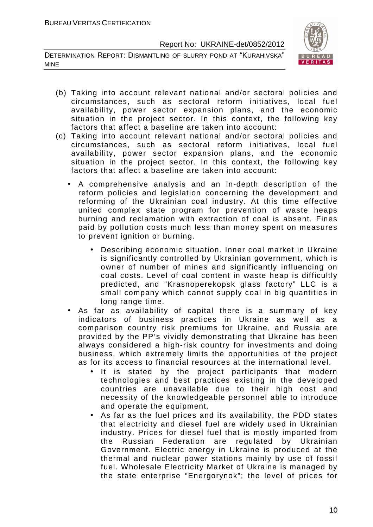DETERMINATION REPORT: DISMANTLING OF SLURRY POND AT "KURAHIVSKA" MINE



- (b) Taking into account relevant national and/or sectoral policies and circumstances, such as sectoral reform initiatives, local fuel availability, power sector expansion plans, and the economic situation in the project sector. In this context, the following key factors that affect a baseline are taken into account:
- (c) Taking into account relevant national and/or sectoral policies and circumstances, such as sectoral reform initiatives, local fuel availability, power sector expansion plans, and the economic situation in the project sector. In this context, the following key factors that affect a baseline are taken into account:
	- A comprehensive analysis and an in-depth description of the reform policies and legislation concerning the development and reforming of the Ukrainian coal industry. At this time effective united complex state program for prevention of waste heaps burning and reclamation with extraction of coal is absent. Fines paid by pollution costs much less than money spent on measures to prevent ignition or burning.
		- Describing economic situation. Inner coal market in Ukraine is significantly controlled by Ukrainian government, which is owner of number of mines and significantly influencing on coal costs. Level of coal content in waste heap is difficultly predicted, and "Krasnoperekopsk glass factory" LLC is a small company which cannot supply coal in big quantities in long range time.
	- As far as availability of capital there is a summary of key indicators of business practices in Ukraine as well as a comparison country risk premiums for Ukraine, and Russia are provided by the PP's vividly demonstrating that Ukraine has been always considered a high-risk country for investments and doing business, which extremely limits the opportunities of the project as for its access to financial resources at the international level.
		- It is stated by the project participants that modern technologies and best practices existing in the developed countries are unavailable due to their high cost and necessity of the knowledgeable personnel able to introduce and operate the equipment.
		- As far as the fuel prices and its availability, the PDD states that electricity and diesel fuel are widely used in Ukrainian industry. Prices for diesel fuel that is mostly imported from the Russian Federation are regulated by Ukrainian Government. Electric energy in Ukraine is produced at the thermal and nuclear power stations mainly by use of fossil fuel. Wholesale Electricity Market of Ukraine is managed by the state enterprise "Energorynok"; the level of prices for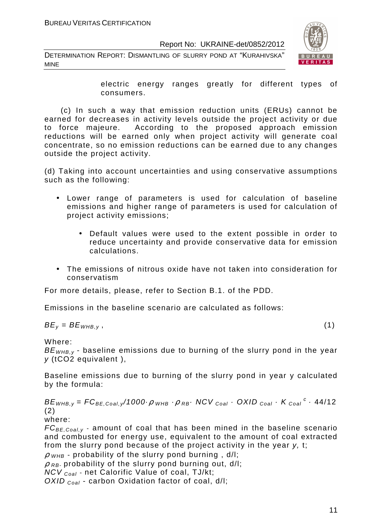DETERMINATION REPORT: DISMANTLING OF SLURRY POND AT "KURAHIVSKA" MINE



electric energy ranges greatly for different types of consumers.

 (c) In such a way that emission reduction units (ERUs) cannot be earned for decreases in activity levels outside the project activity or due to force majeure. According to the proposed approach emission reductions will be earned only when project activity will generate coal concentrate, so no emission reductions can be earned due to any changes outside the project activity.

(d) Taking into account uncertainties and using conservative assumptions such as the following:

- Lower range of parameters is used for calculation of baseline emissions and higher range of parameters is used for calculation of project activity emissions;
	- Default values were used to the extent possible in order to reduce uncertainty and provide conservative data for emission calculations.
- The emissions of nitrous oxide have not taken into consideration for conservatism

For more details, please, refer to Section B.1. of the PDD.

Emissions in the baseline scenario are calculated as follows:

$$
BE_y = BE_{WHB,y}, \qquad (1)
$$

Where:

 $BE<sub>WHB-V</sub>$  - baseline emissions due to burning of the slurry pond in the year y (tCO2 equivalent ),

Baseline emissions due to burning of the slurry pond in year y calculated by the formula:

 $BE_{WHB,y} = FC_{BE,Coal,y}$ /1000 $\cdot \rho$   $_{WHB}$   $\cdot \rho$   $_{RB}$   $\cdot$  NCV  $_{Coal}$   $\cdot$  OXID  $_{Coal}$   $\cdot$  K  $_{Coal}$   $\cdot$  44/12 (2)

where:

 $FC_{BE,Coal,v}$  - amount of coal that has been mined in the baseline scenario and combusted for energy use, equivalent to the amount of coal extracted from the slurry pond because of the project activity in the year y, t;

 $\rho$  <sub>WHB</sub> - probability of the slurry pond burning, d/l;

 $\rho$ <sub>RB</sub>- probability of the slurry pond burning out, d/l;

NCV Coal - net Calorific Value of coal, TJ/kt;

OXID  $_{Coal}$  - carbon Oxidation factor of coal, d/l;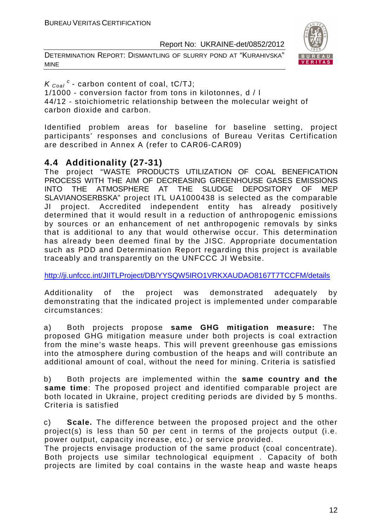DETERMINATION REPORT: DISMANTLING OF SLURRY POND AT "KURAHIVSKA" MINE



 $K_{\text{Coal}}^c$  - carbon content of coal, tC/TJ; 1/1000 - conversion factor from tons in kilotonnes, d / l 44/12 - stoichiometric relationship between the molecular weight of carbon dioxide and carbon.

Identified problem areas for baseline for baseline setting, project participants' responses and conclusions of Bureau Veritas Certification are described in Annex A (refer to CAR06-CAR09)

# **4.4 Additionality (27-31)**

The project "WASTE PRODUCTS UTILIZATION OF COAL BENEFICATION PROCESS WITH THE AIM OF DECREASING GREENHOUSE GASES EMISSIONS INTO THE ATMOSPHERE AT THE SLUDGE DEPOSITORY OF MEP SLAVIANOSERBSKA" project ITL UA1000438 is selected as the comparable JI project. Accredited independent entity has already positively determined that it would result in a reduction of anthropogenic emissions by sources or an enhancement of net anthropogenic removals by sinks that is additional to any that would otherwise occur. This determination has already been deemed final by the JISC. Appropriate documentation such as PDD and Determination Report regarding this project is available traceably and transparently on the UNFCCC JI Website.

http://ji.unfccc.int/JIITLProject/DB/YYSQW5IRO1VRKXAUDAO8167T7TCCFM/details

Additionality of the project was demonstrated adequately by demonstrating that the indicated project is implemented under comparable circumstances:

a) Both projects propose **same GHG mitigation measure:** The proposed GHG mitigation measure under both projects is coal extraction from the mine's waste heaps. This will prevent greenhouse gas emissions into the atmosphere during combustion of the heaps and will contribute an additional amount of coal, without the need for mining. Criteria is satisfied

b) Both projects are implemented within the **same country and the same time**: The proposed project and identified comparable project are both located in Ukraine, project crediting periods are divided by 5 months. Criteria is satisfied

c) **Scale.** The difference between the proposed project and the other project(s) is less than 50 per cent in terms of the projects output (i.e. power output, capacity increase, etc.) or service provided.

The projects envisage production of the same product (coal concentrate). Both projects use similar technological equipment . Capacity of both projects are limited by coal contains in the waste heap and waste heaps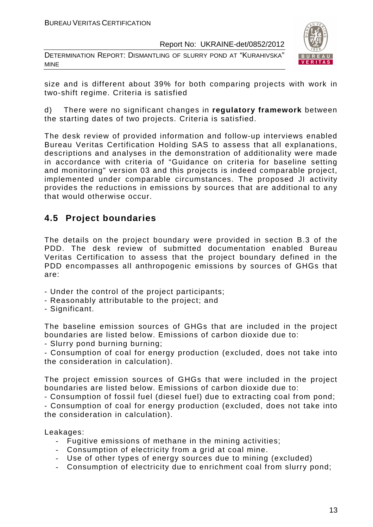DETERMINATION REPORT: DISMANTLING OF SLURRY POND AT "KURAHIVSKA" MINE



size and is different about 39% for both comparing projects with work in two-shift regime. Criteria is satisfied

d) There were no significant changes in **regulatory framework** between the starting dates of two projects. Criteria is satisfied.

The desk review of provided information and follow-up interviews enabled Bureau Veritas Certification Holding SAS to assess that all explanations, descriptions and analyses in the demonstration of additionality were made in accordance with criteria of "Guidance on criteria for baseline setting and monitoring" version 03 and this projects is indeed comparable project, implemented under comparable circumstances. The proposed JI activity provides the reductions in emissions by sources that are additional to any that would otherwise occur.

# **4.5 Project boundaries**

The details on the project boundary were provided in section B.3 of the PDD. The desk review of submitted documentation enabled Bureau Veritas Certification to assess that the project boundary defined in the PDD encompasses all anthropogenic emissions by sources of GHGs that are:

- Under the control of the project participants;
- Reasonably attributable to the project; and
- Significant.

The baseline emission sources of GHGs that are included in the project boundaries are listed below. Emissions of carbon dioxide due to:

- Slurry pond burning burning;

- Consumption of coal for energy production (excluded, does not take into the consideration in calculation).

The project emission sources of GHGs that were included in the project boundaries are listed below. Emissions of carbon dioxide due to:

- Consumption of fossil fuel (diesel fuel) due to extracting coal from pond;

- Consumption of coal for energy production (excluded, does not take into the consideration in calculation).

Leakages:

- Fugitive emissions of methane in the mining activities;
- Consumption of electricity from a grid at coal mine.
- Use of other types of energy sources due to mining (excluded)
- Consumption of electricity due to enrichment coal from slurry pond;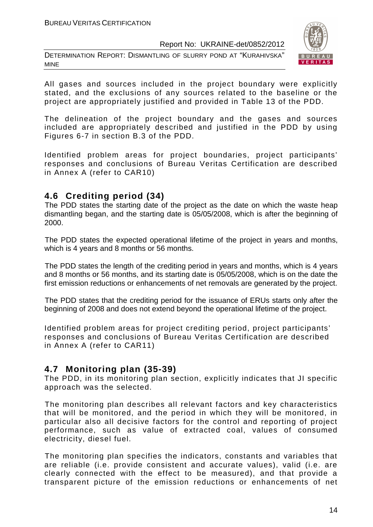DETERMINATION REPORT: DISMANTLING OF SLURRY POND AT "KURAHIVSKA" MINE



All gases and sources included in the project boundary were explicitly stated, and the exclusions of any sources related to the baseline or the project are appropriately justified and provided in Table 13 of the PDD.

The delineation of the project boundary and the gases and sources included are appropriately described and justified in the PDD by using Figures 6-7 in section B.3 of the PDD.

Identified problem areas for project boundaries, project participants' responses and conclusions of Bureau Veritas Certification are described in Annex A (refer to CAR10)

# **4.6 Crediting period (34)**

The PDD states the starting date of the project as the date on which the waste heap dismantling began, and the starting date is 05/05/2008, which is after the beginning of 2000.

The PDD states the expected operational lifetime of the project in years and months, which is 4 years and 8 months or 56 months.

The PDD states the length of the crediting period in years and months, which is 4 years and 8 months or 56 months, and its starting date is 05/05/2008, which is on the date the first emission reductions or enhancements of net removals are generated by the project.

The PDD states that the crediting period for the issuance of ERUs starts only after the beginning of 2008 and does not extend beyond the operational lifetime of the project.

Identified problem areas for project crediting period, project participants' responses and conclusions of Bureau Veritas Certification are described in Annex A (refer to CAR11)

# **4.7 Monitoring plan (35-39)**

The PDD, in its monitoring plan section, explicitly indicates that JI specific approach was the selected.

The monitoring plan describes all relevant factors and key characteristics that will be monitored, and the period in which they will be monitored, in particular also all decisive factors for the control and reporting of project performance, such as value of extracted coal, values of consumed electricity, diesel fuel.

The monitoring plan specifies the indicators, constants and variables that are reliable (i.e. provide consistent and accurate values), valid (i.e. are clearly connected with the effect to be measured), and that provide a transparent picture of the emission reductions or enhancements of net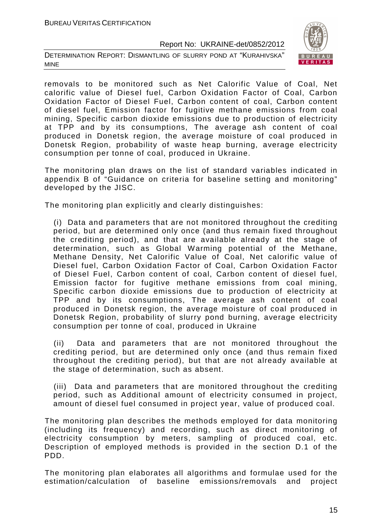DETERMINATION REPORT: DISMANTLING OF SLURRY POND AT "KURAHIVSKA" MINE



removals to be monitored such as Net Calorific Value of Coal, Net calorific value of Diesel fuel, Carbon Oxidation Factor of Coal, Carbon Oxidation Factor of Diesel Fuel, Carbon content of coal, Carbon content of diesel fuel, Emission factor for fugitive methane emissions from coal mining, Specific carbon dioxide emissions due to production of electricity at TPP and by its consumptions, The average ash content of coal produced in Donetsk region, the average moisture of coal produced in Donetsk Region, probability of waste heap burning, average electricity consumption per tonne of coal, produced in Ukraine.

The monitoring plan draws on the list of standard variables indicated in appendix B of "Guidance on criteria for baseline setting and monitoring" developed by the JISC.

The monitoring plan explicitly and clearly distinguishes:

(i) Data and parameters that are not monitored throughout the crediting period, but are determined only once (and thus remain fixed throughout the crediting period), and that are available already at the stage of determination, such as Global Warming potential of the Methane, Methane Density, Net Calorific Value of Coal, Net calorific value of Diesel fuel, Carbon Oxidation Factor of Coal, Carbon Oxidation Factor of Diesel Fuel, Carbon content of coal, Carbon content of diesel fuel, Emission factor for fugitive methane emissions from coal mining, Specific carbon dioxide emissions due to production of electricity at TPP and by its consumptions, The average ash content of coal produced in Donetsk region, the average moisture of coal produced in Donetsk Region, probability of slurry pond burning, average electricity consumption per tonne of coal, produced in Ukraine

(ii) Data and parameters that are not monitored throughout the crediting period, but are determined only once (and thus remain fixed throughout the crediting period), but that are not already available at the stage of determination, such as absent.

(iii) Data and parameters that are monitored throughout the crediting period, such as Additional amount of electricity consumed in project, amount of diesel fuel consumed in project year, value of produced coal.

The monitoring plan describes the methods employed for data monitoring (including its frequency) and recording, such as direct monitoring of electricity consumption by meters, sampling of produced coal, etc. Description of employed methods is provided in the section D.1 of the PDD.

The monitoring plan elaborates all algorithms and formulae used for the estimation/calculation of baseline emissions/removals and project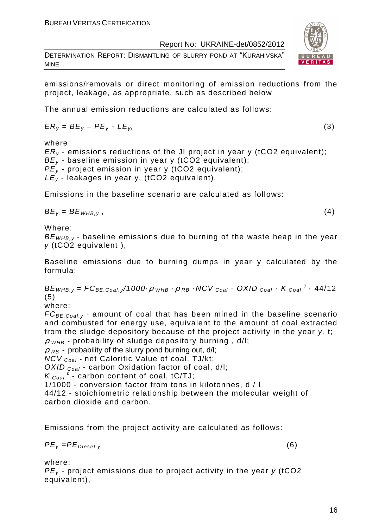DETERMINATION REPORT: DISMANTLING OF SLURRY POND AT "KURAHIVSKA" MINE

emissions/removals or direct monitoring of emission reductions from the project, leakage, as appropriate, such as described below

The annual emission reductions are calculated as follows:

$$
ER_y = BE_y - PE_y - LE_y, \tag{3}
$$

where:

 $ER<sub>v</sub>$  - emissions reductions of the JI project in year y (tCO2 equivalent);  $BE_v$  - baseline emission in year y (tCO2 equivalent);  $PE<sub>y</sub>$  - project emission in year y (tCO2 equivalent);  $LE_v$  - leakages in year y, (tCO2 equivalent).

Emissions in the baseline scenario are calculated as follows:

 $BE_v = BE_{WHB.v}$ , (4)

Where:

 $BE<sub>WHB-V</sub>$  - baseline emissions due to burning of the waste heap in the year  $v$  (tCO2 equivalent).

Baseline emissions due to burning dumps in year y calculated by the formula:

 $BE_{WHB,y} = FC_{BE,Coal,y}$ /1000 $\cdot \rho$   $_{WHB}$   $\cdot \rho$   $_{RB}$   $\cdot$  NCV  $_{Coal}$   $\cdot$  OXID  $_{Coal}$   $\cdot$  K  $_{Coal}$   $^c$   $\cdot$  44/12 (5)

where:

 $FC_{BE,Coal,v}$  - amount of coal that has been mined in the baseline scenario and combusted for energy use, equivalent to the amount of coal extracted from the sludge depository because of the project activity in the year y, t;

 $\rho$  <sub>WHB</sub> - probability of sludge depository burning, d/l;

 $\rho$ <sub>RB</sub> - probability of the slurry pond burning out, d/l;

NCV <sub>Coal</sub> - net Calorific Value of coal, TJ/kt;

OXID  $_{Coal}$  - carbon Oxidation factor of coal, d/l;

 $K_{\text{Coal}}^{\text{c}}$  - carbon content of coal, tC/TJ;

1/1000 - conversion factor from tons in kilotonnes, d / l

44/12 - stoichiometric relationship between the molecular weight of carbon dioxide and carbon.

Emissions from the project activity are calculated as follows:

 $PE_v = PE_{Diesel.v}$  (6)

where:

 $PE<sub>v</sub>$  - project emissions due to project activity in the year y (tCO2 equivalent),

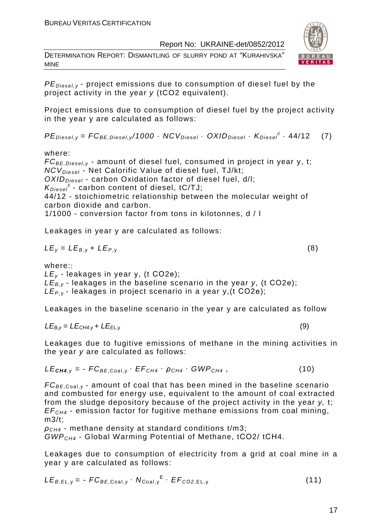DETERMINATION REPORT: DISMANTLING OF SLURRY POND AT "KURAHIVSKA" MINE



 $PE_{\text{Diesel},v}$  - project emissions due to consumption of diesel fuel by the project activity in the year y (tCO2 equivalent).

Project emissions due to consumption of diesel fuel by the project activity in the year y are calculated as follows:

 $PE_{\text{Diesel}, y} = FC_{BE, \text{Diesel}, y} / 1000 \cdot NCV_{\text{Diesel}} \cdot OXID_{\text{Diesel}} \cdot K_{\text{Diesel}}^c \cdot 44/12$  (7)

where:

 $FC_{BE, Diesel, y}$  - amount of diesel fuel, consumed in project in year y, t;  $NCV_{Diesel}$  - Net Calorific Value of diesel fuel, TJ/kt;  $OXID<sub>Diesel</sub>$  - carbon Oxidation factor of diesel fuel, d/l;  $K_{\text{Diesel}}^c$  - carbon content of diesel, tC/TJ; 44/12 - stoichiometric relationship between the molecular weight of carbon dioxide and carbon. 1/1000 - conversion factor from tons in kilotonnes, d / l

Leakages in year y are calculated as follows:

$$
LE_y = LE_{B,y} + LE_{P,y}
$$
 (8)

where::

 $LE<sub>v</sub>$  - leakages in year y, (t CO2e);  $LE_{B,y}$  - leakages in the baseline scenario in the year y, (t CO2e);  $LE_{P,Y}$ - leakages in project scenario in a year y, (t CO2e);

Leakages in the baseline scenario in the year y are calculated as follow

$$
LE_{B,y} = LE_{CH4,y} + LE_{EL,y}
$$
 (9)

Leakages due to fugitive emissions of methane in the mining activities in the year y are calculated as follows:

$$
LE_{\text{CH4},y} = -FC_{BE, \text{Coal},y} \cdot EF_{CH4} \cdot \rho_{CH4} \cdot GWP_{CH4}, \qquad (10)
$$

 $FC_{BE, coal,v}$  - amount of coal that has been mined in the baseline scenario and combusted for energy use, equivalent to the amount of coal extracted from the sludge depository because of the project activity in the year y, t;  $EF<sub>CH4</sub>$  - emission factor for fugitive methane emissions from coal mining, m3/t;

 $\rho_{CH4}$  - methane density at standard conditions t/m3: GWPCH4 - Global Warming Potential of Methane, tСО2/ tСН4.

Leakages due to consumption of electricity from a grid at coal mine in a year y are calculated as follows:

$$
LE_{B,EL,y} = -FC_{BE,Coal,y} \cdot N_{Coal,y}^{E} \cdot EF_{CO2,EL,y}
$$
 (11)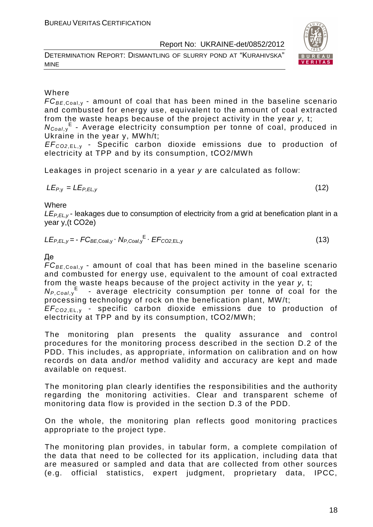DETERMINATION REPORT: DISMANTLING OF SLURRY POND AT "KURAHIVSKA" MINE

#### Where

 $FC_{BE, coal,v}$  - amount of coal that has been mined in the baseline scenario and combusted for energy use, equivalent to the amount of coal extracted from the waste heaps because of the project activity in the year y, t;

N<sub>Coal,y</sub><sup>E</sup> - Average electricity consumption per tonne of coal, produced in Ukraine in the year y, MWh/t;

EF<sup>C</sup>*О*2,EL, <sup>у</sup> - Specific carbon dioxide emissions due to production of electricity at TPP and by its consumption, tСО2/MWh

Leakages in project scenario in a year y are calculated as follow:

$$
LE_{P,y} = LE_{P,EL,y} \tag{12}
$$

**Where** 

 $LE_{PFLV}$ - leakages due to consumption of electricity from a grid at benefication plant in a year y,(t СО2е)

$$
LE_{P,EL,y} = -FC_{BE,Coal,y} \cdot N_{P,Coal,y}^{E} \cdot EF_{CO2,EL,y}
$$
 (13)

Де

 $FC_{BE,Coal,v}$  - amount of coal that has been mined in the baseline scenario and combusted for energy use, equivalent to the amount of coal extracted from the waste heaps because of the project activity in the year y, t;

 $N_{P,Coal,y}$ <sup>E</sup> - average electricity consumption per tonne of coal for the processing technology of rock on the benefication plant, MW/t;

EF<sup>C</sup>*О*2,EL, <sup>у</sup> - specific carbon dioxide emissions due to production of electricity at TPP and by its consumption, tСО2/MWh;

The monitoring plan presents the quality assurance and control procedures for the monitoring process described in the section D.2 of the PDD. This includes, as appropriate, information on calibration and on how records on data and/or method validity and accuracy are kept and made available on request.

The monitoring plan clearly identifies the responsibilities and the authority regarding the monitoring activities. Clear and transparent scheme of monitoring data flow is provided in the section D.3 of the PDD.

On the whole, the monitoring plan reflects good monitoring practices appropriate to the project type.

The monitoring plan provides, in tabular form, a complete compilation of the data that need to be collected for its application, including data that are measured or sampled and data that are collected from other sources (e.g. official statistics, expert judgment, proprietary data, IPCC,

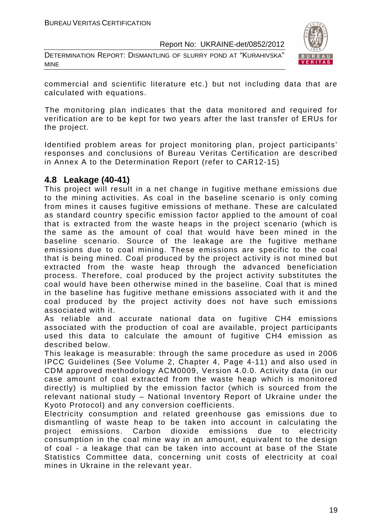DETERMINATION REPORT: DISMANTLING OF SLURRY POND AT "KURAHIVSKA" MINE



commercial and scientific literature etc.) but not including data that are calculated with equations.

The monitoring plan indicates that the data monitored and required for verification are to be kept for two years after the last transfer of ERUs for the project.

Identified problem areas for project monitoring plan, project participants' responses and conclusions of Bureau Veritas Certification are described in Annex A to the Determination Report (refer to CAR12-15)

# **4.8 Leakage (40-41)**

This project will result in a net change in fugitive methane emissions due to the mining activities. As coal in the baseline scenario is only coming from mines it causes fugitive emissions of methane. These are calculated as standard country specific emission factor applied to the amount of coal that is extracted from the waste heaps in the project scenario (which is the same as the amount of coal that would have been mined in the baseline scenario. Source of the leakage are the fugitive methane emissions due to coal mining. These emissions are specific to the coal that is being mined. Coal produced by the project activity is not mined but extracted from the waste heap through the advanced beneficiation process. Therefore, coal produced by the project activity substitutes the coal would have been otherwise mined in the baseline. Coal that is mined in the baseline has fugitive methane emissions associated with it and the coal produced by the project activity does not have such emissions associated with it.

As reliable and accurate national data on fugitive CH4 emissions associated with the production of coal are available, project participants used this data to calculate the amount of fugitive CH4 emission as described below.

This leakage is measurable: through the same procedure as used in 2006 IPCC Guidelines (See Volume 2, Chapter 4, Page 4-11) and also used in CDM approved methodology ACM0009, Version 4.0.0. Activity data (in our case amount of coal extracted from the waste heap which is monitored directly) is multiplied by the emission factor (which is sourced from the relevant national study – National Inventory Report of Ukraine under the Kyoto Protocol) and any conversion coefficients.

Electricity consumption and related greenhouse gas emissions due to dismantling of waste heap to be taken into account in calculating the project emissions. Carbon dioxide emissions due to electricity consumption in the coal mine way in an amount, equivalent to the design of coal - a leakage that can be taken into account at base of the State Statistics Committee data, concerning unit costs of electricity at coal mines in Ukraine in the relevant year.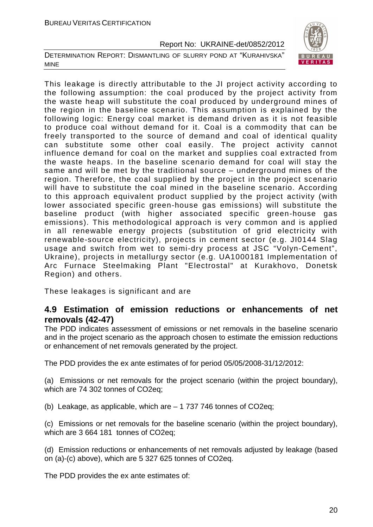DETERMINATION REPORT: DISMANTLING OF SLURRY POND AT "KURAHIVSKA" MINE



This leakage is directly attributable to the JI project activity according to the following assumption: the coal produced by the project activity from the waste heap will substitute the coal produced by underground mines of the region in the baseline scenario. This assumption is explained by the following logic: Energy coal market is demand driven as it is not feasible to produce coal without demand for it. Coal is a commodity that can be freely transported to the source of demand and coal of identical quality can substitute some other coal easily. The project activity cannot influence demand for coal on the market and supplies coal extracted from the waste heaps. In the baseline scenario demand for coal will stay the same and will be met by the traditional source – underground mines of the region. Therefore, the coal supplied by the project in the project scenario will have to substitute the coal mined in the baseline scenario. According to this approach equivalent product supplied by the project activity (with lower associated specific green-house gas emissions) will substitute the baseline product (with higher associated specific green-house gas emissions). This methodological approach is very common and is applied in all renewable energy projects (substitution of grid electricity with renewable-source electricity), projects in cement sector (e.g. JI0144 Slag usage and switch from wet to semi-dry process at JSC "Volyn-Cement", Ukraine), projects in metallurgy sector (e.g. UA1000181 Implementation of Arc Furnace Steelmaking Plant "Electrostal" at Kurakhovo, Donetsk Region) and others.

These leakages is significant and are

## **4.9 Estimation of emission reductions or enhancements of net removals (42-47)**

The PDD indicates assessment of emissions or net removals in the baseline scenario and in the project scenario as the approach chosen to estimate the emission reductions or enhancement of net removals generated by the project.

The PDD provides the ex ante estimates of for period 05/05/2008-31/12/2012:

(a) Emissions or net removals for the project scenario (within the project boundary), which are 74 302 tonnes of CO2eq;

(b) Leakage, as applicable, which are – 1 737 746 tonnes of CO2eq;

(c) Emissions or net removals for the baseline scenario (within the project boundary), which are 3 664 181 tonnes of CO2eq;

(d) Emission reductions or enhancements of net removals adjusted by leakage (based on (a)-(c) above), which are 5 327 625 tonnes of CO2eq.

The PDD provides the ex ante estimates of: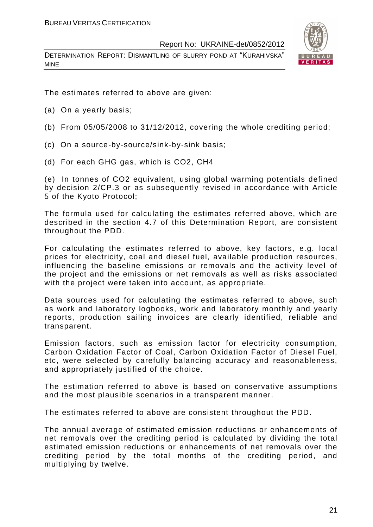DETERMINATION REPORT: DISMANTLING OF SLURRY POND AT "KURAHIVSKA" MINE



The estimates referred to above are given:

- (a) On a yearly basis;
- (b) From 05/05/2008 to 31/12/2012, covering the whole crediting period;
- (c) On a source-by-source/sink-by-sink basis;
- (d) For each GHG gas, which is CO2, СН4

(e) In tonnes of CO2 equivalent, using global warming potentials defined by decision 2/CP.3 or as subsequently revised in accordance with Article 5 of the Kyoto Protocol;

The formula used for calculating the estimates referred above, which are described in the section 4.7 of this Determination Report, are consistent throughout the PDD.

For calculating the estimates referred to above, key factors, e.g. local prices for electricity, coal and diesel fuel, available production resources, influencing the baseline emissions or removals and the activity level of the project and the emissions or net removals as well as risks associated with the project were taken into account, as appropriate.

Data sources used for calculating the estimates referred to above, such as work and laboratory logbooks, work and laboratory monthly and yearly reports, production sailing invoices are clearly identified, reliable and transparent.

Emission factors, such as emission factor for electricity consumption, Carbon Oxidation Factor of Coal, Carbon Oxidation Factor of Diesel Fuel, etc, were selected by carefully balancing accuracy and reasonableness, and appropriately justified of the choice.

The estimation referred to above is based on conservative assumptions and the most plausible scenarios in a transparent manner.

The estimates referred to above are consistent throughout the PDD.

The annual average of estimated emission reductions or enhancements of net removals over the crediting period is calculated by dividing the total estimated emission reductions or enhancements of net removals over the crediting period by the total months of the crediting period, and multiplying by twelve.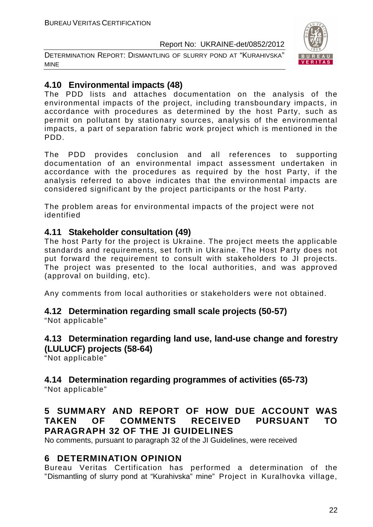DETERMINATION REPORT: DISMANTLING OF SLURRY POND AT "KURAHIVSKA" MINE



# **4.10 Environmental impacts (48)**

The PDD lists and attaches documentation on the analysis of the environmental impacts of the project, including transboundary impacts, in accordance with procedures as determined by the host Party, such as permit on pollutant by stationary sources, analysis of the environmental impacts, a part of separation fabric work project which is mentioned in the PDD.

The PDD provides conclusion and all references to supporting documentation of an environmental impact assessment undertaken in accordance with the procedures as required by the host Party, if the analysis referred to above indicates that the environmental impacts are considered significant by the project participants or the host Party.

The problem areas for environmental impacts of the project were not identified

# **4.11 Stakeholder consultation (49)**

The host Party for the project is Ukraine. The project meets the applicable standards and requirements, set forth in Ukraine. The Host Party does not put forward the requirement to consult with stakeholders to JI projects. The project was presented to the local authorities, and was approved (approval on building, etc).

Any comments from local authorities or stakeholders were not obtained.

# **4.12 Determination regarding small scale projects (50-57)**

"Not applicable"

# **4.13 Determination regarding land use, land-use change and forestry (LULUCF) projects (58-64)**

"Not applicable"

# **4.14 Determination regarding programmes of activities (65-73)**

"Not applicable"

# **5 SUMMARY AND REPORT OF HOW DUE ACCOUNT WAS TAKEN OF COMMENTS RECEIVED PURSUANT TO PARAGRAPH 32 OF THE JI GUIDELINES**

No comments, pursuant to paragraph 32 of the JI Guidelines, were received

# **6 DETERMINATION OPINION**

Bureau Veritas Certification has performed a determination of the "Dismantling of slurry pond at "Kurahivska" mine" Project in Kuralhovka village,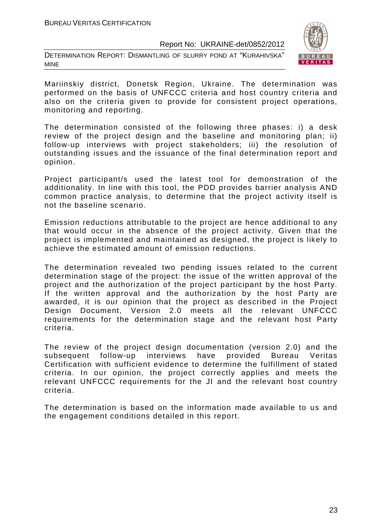DETERMINATION REPORT: DISMANTLING OF SLURRY POND AT "KURAHIVSKA" MINE



Mariinskiy district, Donetsk Region, Ukraine. The determination was performed on the basis of UNFCCC criteria and host country criteria and also on the criteria given to provide for consistent project operations, monitoring and reporting.

The determination consisted of the following three phases: i) a desk review of the project design and the baseline and monitoring plan; ii) follow-up interviews with project stakeholders; iii) the resolution of outstanding issues and the issuance of the final determination report and opinion.

Project participant/s used the latest tool for demonstration of the additionality. In line with this tool, the PDD provides barrier analysis AND common practice analysis, to determine that the project activity itself is not the baseline scenario.

Emission reductions attributable to the project are hence additional to any that would occur in the absence of the project activity. Given that the project is implemented and maintained as designed, the project is likely to achieve the estimated amount of emission reductions.

The determination revealed two pending issues related to the current determination stage of the project: the issue of the written approval of the project and the authorization of the project participant by the host Party. If the written approval and the authorization by the host Party are awarded, it is our opinion that the project as described in the Project Design Document, Version 2.0 meets all the relevant UNFCCC requirements for the determination stage and the relevant host Party criteria.

The review of the project design documentation (version 2.0) and the subsequent follow-up interviews have provided Bureau Veritas Certification with sufficient evidence to determine the fulfillment of stated criteria. In our opinion, the project correctly applies and meets the relevant UNFCCC requirements for the JI and the relevant host country criteria.

The determination is based on the information made available to us and the engagement conditions detailed in this report.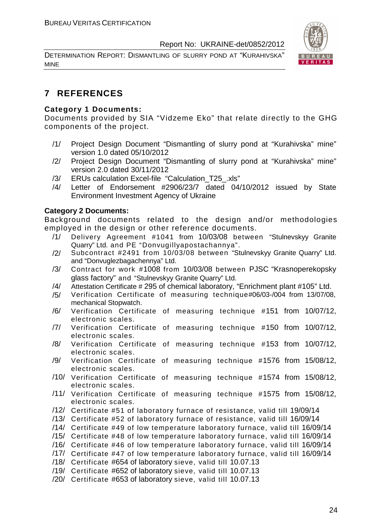DETERMINATION REPORT: DISMANTLING OF SLURRY POND AT "KURAHIVSKA" MINE



# **7 REFERENCES**

#### **Category 1 Documents:**

Documents provided by SIA "Vidzeme Eko" that relate directly to the GHG components of the project.

- /1/ Project Design Document "Dismantling of slurry pond at "Kurahivska" mine" version 1.0 dated 05/10/2012
- /2/ Project Design Document "Dismantling of slurry pond at "Kurahivska" mine" version 2.0 dated 30/11/2012
- /3/ ERUs calculation Excel-file "Calculation\_T25\_.xls"
- /4/ Letter of Endorsement #2906/23/7 dated 04/10/2012 issued by State Environment Investment Agency of Ukraine

#### **Category 2 Documents:**

Background documents related to the design and/or methodologies employed in the design or other reference documents.

- /1/ Delivery Agreement #1041 from 10/03/08 between "Stulnevskyy Granite Quarry" Ltd. and PE "Donvugillyapostachannya".
- /2/ Subcontract #2491 from 10/03/08 between "Stulnevskyy Granite Quarry" Ltd. and "Donvuglezbagachennya" Ltd.
- /3/ Contract for work #1008 from 10/03/08 between PJSC "Krasnoperekopsky glass factory" and "Stulnevskyy Granite Quarry" Ltd.
- /4/ Attestation Certificate # 295 of chemical laboratory, "Enrichment plant #105" Ltd.
- /5/ Verification Certificate of measuring technique#06/03-/004 from 13/07/08, mechanical Stopwatch.
- /6/ Verification Certificate of measuring technique #151 from 10/07/12, electronic scales.
- /7/ Verification Certificate of measuring technique #150 from 10/07/12, electronic scales.
- /8/ Verification Certificate of measuring technique #153 from 10/07/12, electronic scales.
- /9/ Verification Certificate of measuring technique #1576 from 15/08/12, electronic scales.
- /10/ Verification Certificate of measuring technique #1574 from 15/08/12, electronic scales.
- /11/ Verification Certificate of measuring technique #1575 from 15/08/12, electronic scales.
- /12/ Certificate #51 of laboratory furnace of resistance, valid till 19/09/14
- /13/ Certificate #52 of laboratory furnace of resistance, valid till 16/09/14
- /14/ Certificate #49 of low temperature laboratory furnace, valid till 16/09/14
- /15/ Certificate #48 of low temperature laboratory furnace, valid till 16/09/14
- /16/ Certificate #46 of low temperature laboratory furnace, valid till 16/09/14
- /17/ Certificate #47 of low temperature laboratory furnace, valid till 16/09/14
- /18/ Certificate #654 of laboratory sieve, valid till 10.07.13
- /19/ Certificate #652 of laboratory sieve, valid till 10.07.13
- /20/ Certificate #653 of laboratory sieve, valid till 10.07.13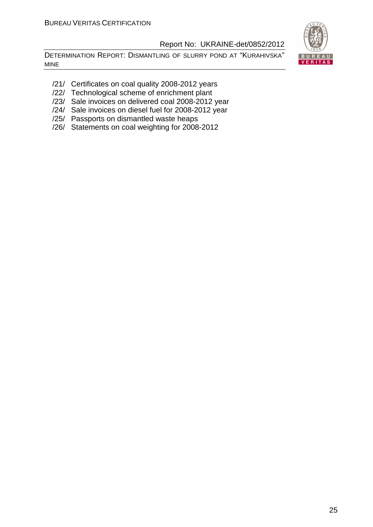DETERMINATION REPORT: DISMANTLING OF SLURRY POND AT "KURAHIVSKA" MINE



- /21/ Certificates on coal quality 2008-2012 years
- /22/ Technological scheme of enrichment plant
- /23/ Sale invoices on delivered coal 2008-2012 year
- /24/ Sale invoices on diesel fuel for 2008-2012 year
- /25/ Passports on dismantled waste heaps
- /26/ Statements on coal weighting for 2008-2012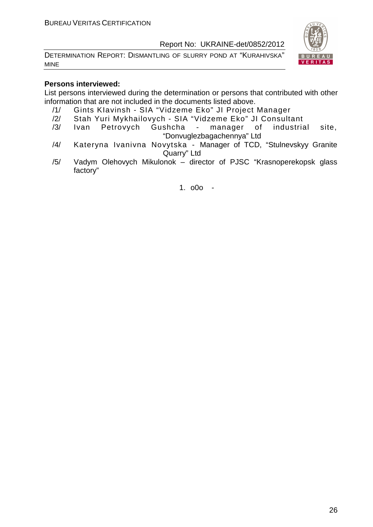DETERMINATION REPORT: DISMANTLING OF SLURRY POND AT "KURAHIVSKA" MINE



#### **Persons interviewed:**

List persons interviewed during the determination or persons that contributed with other information that are not included in the documents listed above.

- /1/ Gints KIavinsh SIA "Vidzeme Eko" JI Project Manager
- /2/ Stah Yuri Mykhailovych SIA "Vidzeme Eko" JI Consultant
- /3/ Ivan Petrovych Gushcha manager of industrial site, "Donvuglezbagachennya" Ltd
- /4/ Kateryna Ivanivna Novytska Manager of TCD, "Stulnevskyy Granite Quarry" Ltd
- /5/ Vadym Olehovych Mikulonok director of PJSC "Krasnoperekopsk glass factory"

1. o0o -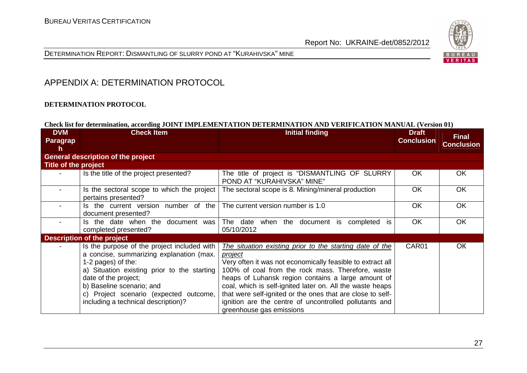

DETERMINATION REPORT: DISMANTLING OF SLURRY POND AT "KURAHIVSKA" MINE

# APPENDIX A: DETERMINATION PROTOCOL

#### **DETERMINATION PROTOCOL**

#### **Check list for determination, according JOINT IMPLEMENTATION DETERMINATION AND VERIFICATION MANUAL (Version 01)**

| <b>DVM</b><br>Paragrap<br>h | <b>Check Item</b>                                                                                                                                                                                                                                                                                  | <b>Initial finding</b>                                                                                                                                                                                                                                                                                                                                                                                                                                        | <b>Draft</b><br><b>Conclusion</b> | <b>Final</b><br><b>Conclusion</b> |
|-----------------------------|----------------------------------------------------------------------------------------------------------------------------------------------------------------------------------------------------------------------------------------------------------------------------------------------------|---------------------------------------------------------------------------------------------------------------------------------------------------------------------------------------------------------------------------------------------------------------------------------------------------------------------------------------------------------------------------------------------------------------------------------------------------------------|-----------------------------------|-----------------------------------|
|                             | <b>General description of the project</b>                                                                                                                                                                                                                                                          |                                                                                                                                                                                                                                                                                                                                                                                                                                                               |                                   |                                   |
| Title of the project        |                                                                                                                                                                                                                                                                                                    |                                                                                                                                                                                                                                                                                                                                                                                                                                                               |                                   |                                   |
|                             | Is the title of the project presented?                                                                                                                                                                                                                                                             | The title of project is "DISMANTLING OF SLURRY<br>POND AT "KURAHIVSKA" MINE"                                                                                                                                                                                                                                                                                                                                                                                  | OK                                | OK.                               |
|                             | Is the sectoral scope to which the project<br>pertains presented?                                                                                                                                                                                                                                  | The sectoral scope is 8. Mining/mineral production                                                                                                                                                                                                                                                                                                                                                                                                            | <b>OK</b>                         | <b>OK</b>                         |
|                             | Is the current version number of the<br>document presented?                                                                                                                                                                                                                                        | The current version number is 1.0                                                                                                                                                                                                                                                                                                                                                                                                                             | OK                                | OK                                |
|                             | Is the date when the document was<br>completed presented?                                                                                                                                                                                                                                          | The date<br>when the document is<br>completed<br>is<br>05/10/2012                                                                                                                                                                                                                                                                                                                                                                                             | <b>OK</b>                         | <b>OK</b>                         |
|                             | <b>Description of the project</b>                                                                                                                                                                                                                                                                  |                                                                                                                                                                                                                                                                                                                                                                                                                                                               |                                   |                                   |
|                             | Is the purpose of the project included with<br>a concise, summarizing explanation (max.<br>1-2 pages) of the:<br>a) Situation existing prior to the starting<br>date of the project;<br>b) Baseline scenario; and<br>c) Project scenario (expected outcome,<br>including a technical description)? | The situation existing prior to the starting date of the<br>project<br>Very often it was not economically feasible to extract all<br>100% of coal from the rock mass. Therefore, waste<br>heaps of Luhansk region contains a large amount of<br>coal, which is self-ignited later on. All the waste heaps<br>that were self-ignited or the ones that are close to self-<br>ignition are the centre of uncontrolled pollutants and<br>greenhouse gas emissions | CAR01                             | <b>OK</b>                         |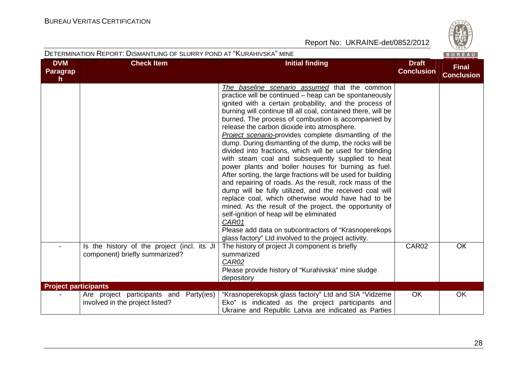

|                                               | DETERMINATION REPORT: DISMANTLING OF SLURRY POND AT "KURAHIVSKA" MINE         |                                                                                                                                                                                                                                                                                                                                                                                                                                                                                                                                                                                                                                                                                                                                                                                                                                                                                                                                                                                                                                                                                                                  |                                   | BUREAU                            |
|-----------------------------------------------|-------------------------------------------------------------------------------|------------------------------------------------------------------------------------------------------------------------------------------------------------------------------------------------------------------------------------------------------------------------------------------------------------------------------------------------------------------------------------------------------------------------------------------------------------------------------------------------------------------------------------------------------------------------------------------------------------------------------------------------------------------------------------------------------------------------------------------------------------------------------------------------------------------------------------------------------------------------------------------------------------------------------------------------------------------------------------------------------------------------------------------------------------------------------------------------------------------|-----------------------------------|-----------------------------------|
| <b>DVM</b><br><b>Paragrap</b><br>$\mathsf{h}$ | <b>Check Item</b>                                                             | <b>Initial finding</b>                                                                                                                                                                                                                                                                                                                                                                                                                                                                                                                                                                                                                                                                                                                                                                                                                                                                                                                                                                                                                                                                                           | <b>Draft</b><br><b>Conclusion</b> | <b>Final</b><br><b>Conclusion</b> |
|                                               |                                                                               | The baseline scenario assumed that the common<br>practice will be continued - heap can be spontaneously<br>ignited with a certain probability, and the process of<br>burning will continue till all coal, contained there, will be<br>burned. The process of combustion is accompanied by<br>release the carbon dioxide into atmosphere.<br>Project scenario-provides complete dismantling of the<br>dump. During dismantling of the dump, the rocks will be<br>divided into fractions, which will be used for blending<br>with steam coal and subsequently supplied to heat<br>power plants and boiler houses for burning as fuel.<br>After sorting, the large fractions will be used for building<br>and repairing of roads. As the result, rock mass of the<br>dump will be fully utilized, and the received coal will<br>replace coal, which otherwise would have had to be<br>mined. As the result of the project, the opportunity of<br>self-ignition of heap will be eliminated<br>CAR01<br>Please add data on subcontractors of "Krasnoperekops"<br>glass factory" Ltd involved to the project activity. |                                   |                                   |
|                                               | Is the history of the project (incl. its JI<br>component) briefly summarized? | The history of project JI component is briefly<br>summarized<br>CAR02<br>Please provide history of "Kurahivska" mine sludge<br>depository                                                                                                                                                                                                                                                                                                                                                                                                                                                                                                                                                                                                                                                                                                                                                                                                                                                                                                                                                                        | CAR02                             | <b>OK</b>                         |
| <b>Project participants</b>                   |                                                                               |                                                                                                                                                                                                                                                                                                                                                                                                                                                                                                                                                                                                                                                                                                                                                                                                                                                                                                                                                                                                                                                                                                                  |                                   |                                   |
|                                               | Are project participants and Party(ies)<br>involved in the project listed?    | "Krasnoperekopsk glass factory" Ltd and SIA "Vidzeme<br>Eko" is indicated as the project participants and<br>Ukraine and Republic Latvia are indicated as Parties                                                                                                                                                                                                                                                                                                                                                                                                                                                                                                                                                                                                                                                                                                                                                                                                                                                                                                                                                | <b>OK</b>                         | OK                                |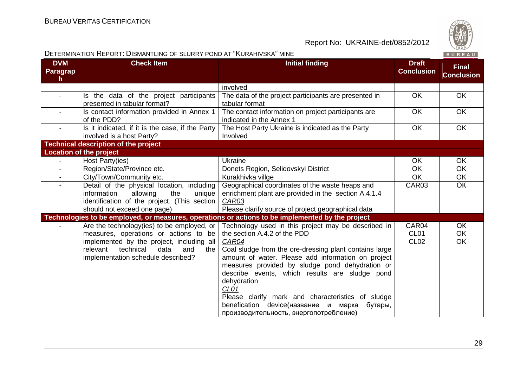

|                              | DETERMINATION REPORT: DISMANTLING OF SLURRY POND AT "KURAHIVSKA" MINE                                                                                                                                                 |                                                                                                                                                                                                                                                                                                                                                                                                                                                                                            |                                          | BUREAU                              |
|------------------------------|-----------------------------------------------------------------------------------------------------------------------------------------------------------------------------------------------------------------------|--------------------------------------------------------------------------------------------------------------------------------------------------------------------------------------------------------------------------------------------------------------------------------------------------------------------------------------------------------------------------------------------------------------------------------------------------------------------------------------------|------------------------------------------|-------------------------------------|
| <b>DVM</b><br>Paragrap<br>h. | <b>Check Item</b>                                                                                                                                                                                                     | <b>Initial finding</b>                                                                                                                                                                                                                                                                                                                                                                                                                                                                     | <b>Draft</b><br><b>Conclusion</b>        | <b>Final</b><br><b>Conclusion</b>   |
|                              |                                                                                                                                                                                                                       | involved                                                                                                                                                                                                                                                                                                                                                                                                                                                                                   |                                          |                                     |
| $\blacksquare$               | Is the data of the project participants<br>presented in tabular format?                                                                                                                                               | The data of the project participants are presented in<br>tabular format                                                                                                                                                                                                                                                                                                                                                                                                                    | <b>OK</b>                                | <b>OK</b>                           |
|                              | Is contact information provided in Annex 1<br>of the PDD?                                                                                                                                                             | The contact information on project participants are<br>indicated in the Annex 1                                                                                                                                                                                                                                                                                                                                                                                                            | <b>OK</b>                                | <b>OK</b>                           |
|                              | Is it indicated, if it is the case, if the Party<br>involved is a host Party?                                                                                                                                         | The Host Party Ukraine is indicated as the Party<br>Involved                                                                                                                                                                                                                                                                                                                                                                                                                               | OK                                       | <b>OK</b>                           |
|                              | <b>Technical description of the project</b>                                                                                                                                                                           |                                                                                                                                                                                                                                                                                                                                                                                                                                                                                            |                                          |                                     |
|                              | <b>Location of the project</b>                                                                                                                                                                                        |                                                                                                                                                                                                                                                                                                                                                                                                                                                                                            |                                          |                                     |
|                              | Host Party(ies)                                                                                                                                                                                                       | <b>Ukraine</b>                                                                                                                                                                                                                                                                                                                                                                                                                                                                             | OK                                       | OK                                  |
| $\blacksquare$               | Region/State/Province etc.                                                                                                                                                                                            | Donets Region, Selidovskyi District                                                                                                                                                                                                                                                                                                                                                                                                                                                        | OK                                       | OK                                  |
| $\blacksquare$               | City/Town/Community etc.                                                                                                                                                                                              | Kurakhivka villge                                                                                                                                                                                                                                                                                                                                                                                                                                                                          | <b>OK</b>                                | OK                                  |
| $\blacksquare$               | Detail of the physical location, including<br>information<br>allowing<br>the<br>unique<br>identification of the project. (This section<br>should not exceed one page)                                                 | Geographical coordinates of the waste heaps and<br>enrichment plant are provided in the section A.4.1.4<br>CAR03<br>Please clarify source of project geographical data                                                                                                                                                                                                                                                                                                                     | CAR03                                    | <b>OK</b>                           |
|                              |                                                                                                                                                                                                                       | Technologies to be employed, or measures, operations or actions to be implemented by the project                                                                                                                                                                                                                                                                                                                                                                                           |                                          |                                     |
|                              | Are the technology(ies) to be employed, or<br>measures, operations or actions to be<br>implemented by the project, including all<br>technical<br>data<br>relevant<br>and<br>the<br>implementation schedule described? | Technology used in this project may be described in<br>the section A.4.2 of the PDD<br>CAR04<br>Coal sludge from the ore-dressing plant contains large<br>amount of water. Please add information on project<br>measures provided by sludge pond dehydration or<br>describe events, which results are sludge pond<br>dehydration<br>CL01<br>Please clarify mark and characteristics of sludge<br>benefication device(название и марка<br>бутары,<br>производительность, энергопотребление) | CAR04<br>CL <sub>01</sub><br><b>CL02</b> | <b>OK</b><br><b>OK</b><br><b>OK</b> |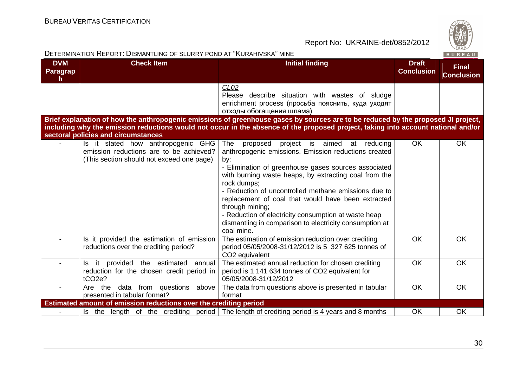

|                                               | DETERMINATION REPORT: DISMANTLING OF SLURRY POND AT "KURAHIVSKA" MINE                                                      |                                                                                                                                                                                                                                                                                                                                                                                                                                                                                                                  |                                   | BUREAU                            |
|-----------------------------------------------|----------------------------------------------------------------------------------------------------------------------------|------------------------------------------------------------------------------------------------------------------------------------------------------------------------------------------------------------------------------------------------------------------------------------------------------------------------------------------------------------------------------------------------------------------------------------------------------------------------------------------------------------------|-----------------------------------|-----------------------------------|
| <b>DVM</b><br><b>Paragrap</b><br>$\mathsf{h}$ | <b>Check Item</b>                                                                                                          | <b>Initial finding</b>                                                                                                                                                                                                                                                                                                                                                                                                                                                                                           | <b>Draft</b><br><b>Conclusion</b> | <b>Final</b><br><b>Conclusion</b> |
|                                               |                                                                                                                            | CL <sub>02</sub><br>Please describe situation with wastes of sludge<br>enrichment process (просьба пояснить, куда уходят<br>отходы обогащения шлама)                                                                                                                                                                                                                                                                                                                                                             |                                   |                                   |
|                                               | sectoral policies and circumstances                                                                                        | Brief explanation of how the anthropogenic emissions of greenhouse gases by sources are to be reduced by the proposed JI project,<br>including why the emission reductions would not occur in the absence of the proposed project, taking into account national and/or                                                                                                                                                                                                                                           |                                   |                                   |
|                                               | Is it stated how anthropogenic GHG<br>emission reductions are to be achieved?<br>(This section should not exceed one page) | The<br>project is aimed at reducing<br>proposed<br>anthropogenic emissions. Emission reductions created<br>by:<br>- Elimination of greenhouse gases sources associated<br>with burning waste heaps, by extracting coal from the<br>rock dumps;<br>- Reduction of uncontrolled methane emissions due to<br>replacement of coal that would have been extracted<br>through mining;<br>- Reduction of electricity consumption at waste heap<br>dismantling in comparison to electricity consumption at<br>coal mine. | <b>OK</b>                         | <b>OK</b>                         |
|                                               | Is it provided the estimation of emission<br>reductions over the crediting period?                                         | The estimation of emission reduction over crediting<br>period 05/05/2008-31/12/2012 is 5 327 625 tonnes of<br>CO <sub>2</sub> equivalent                                                                                                                                                                                                                                                                                                                                                                         | OK                                | OK                                |
|                                               | Is it provided the estimated annual<br>reduction for the chosen credit period in<br>tCO <sub>2e</sub> ?                    | The estimated annual reduction for chosen crediting<br>period is 1 141 634 tonnes of CO2 equivalent for<br>05/05/2008-31/12/2012                                                                                                                                                                                                                                                                                                                                                                                 | <b>OK</b>                         | OK                                |
|                                               | data from questions above<br>Are the<br>presented in tabular format?                                                       | The data from questions above is presented in tabular<br>format                                                                                                                                                                                                                                                                                                                                                                                                                                                  | <b>OK</b>                         | OK                                |
|                                               | Estimated amount of emission reductions over the crediting period                                                          |                                                                                                                                                                                                                                                                                                                                                                                                                                                                                                                  |                                   |                                   |
|                                               |                                                                                                                            | Is the length of the crediting period   The length of crediting period is 4 years and 8 months                                                                                                                                                                                                                                                                                                                                                                                                                   | OK                                | OK                                |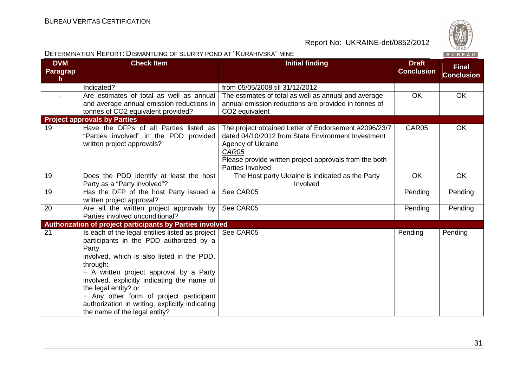

|                                               | DETERMINATION REPORT: DISMANTLING OF SLURRY POND AT "KURAHIVSKA" MINE                                                                                                                                                                                                                                                                                                                                          |                                                                                                                                                                                                                         |                                   | BUREAU                            |
|-----------------------------------------------|----------------------------------------------------------------------------------------------------------------------------------------------------------------------------------------------------------------------------------------------------------------------------------------------------------------------------------------------------------------------------------------------------------------|-------------------------------------------------------------------------------------------------------------------------------------------------------------------------------------------------------------------------|-----------------------------------|-----------------------------------|
| <b>DVM</b><br><b>Paragrap</b><br>$\mathsf{h}$ | <b>Check Item</b>                                                                                                                                                                                                                                                                                                                                                                                              | <b>Initial finding</b>                                                                                                                                                                                                  | <b>Draft</b><br><b>Conclusion</b> | <b>Final</b><br><b>Conclusion</b> |
|                                               | Indicated?                                                                                                                                                                                                                                                                                                                                                                                                     | from 05/05/2008 till 31/12/2012                                                                                                                                                                                         |                                   |                                   |
| $\blacksquare$                                | Are estimates of total as well as annual<br>and average annual emission reductions in<br>tonnes of CO2 equivalent provided?                                                                                                                                                                                                                                                                                    | The estimates of total as well as annual and average<br>annual emission reductions are provided in tonnes of<br>CO <sub>2</sub> equivalent                                                                              | <b>OK</b>                         | <b>OK</b>                         |
|                                               | <b>Project approvals by Parties</b>                                                                                                                                                                                                                                                                                                                                                                            |                                                                                                                                                                                                                         |                                   |                                   |
| 19                                            | Have the DFPs of all Parties listed as<br>"Parties involved" in the PDD provided<br>written project approvals?                                                                                                                                                                                                                                                                                                 | The project obtained Letter of Endorsement #2096/23/7<br>dated 04/10/2012 from State Environment Investment<br>Agency of Ukraine<br>CAR05<br>Please provide written project approvals from the both<br>Parties Involved | CAR05                             | <b>OK</b>                         |
| 19                                            | Does the PDD identify at least the host<br>Party as a "Party involved"?                                                                                                                                                                                                                                                                                                                                        | The Host party Ukraine is indicated as the Party<br>Involved                                                                                                                                                            | <b>OK</b>                         | OK                                |
| 19                                            | Has the DFP of the host Party issued a<br>written project approval?                                                                                                                                                                                                                                                                                                                                            | See CAR05                                                                                                                                                                                                               | Pending                           | Pending                           |
| 20                                            | Are all the written project approvals by<br>Parties involved unconditional?                                                                                                                                                                                                                                                                                                                                    | See CAR05                                                                                                                                                                                                               | Pending                           | Pending                           |
|                                               | Authorization of project participants by Parties involved                                                                                                                                                                                                                                                                                                                                                      |                                                                                                                                                                                                                         |                                   |                                   |
| 21                                            | Is each of the legal entities listed as project<br>participants in the PDD authorized by a<br>Party<br>involved, which is also listed in the PDD,<br>through:<br>- A written project approval by a Party<br>involved, explicitly indicating the name of<br>the legal entity? or<br>- Any other form of project participant<br>authorization in writing, explicitly indicating<br>the name of the legal entity? | See CAR05                                                                                                                                                                                                               | Pending                           | Pending                           |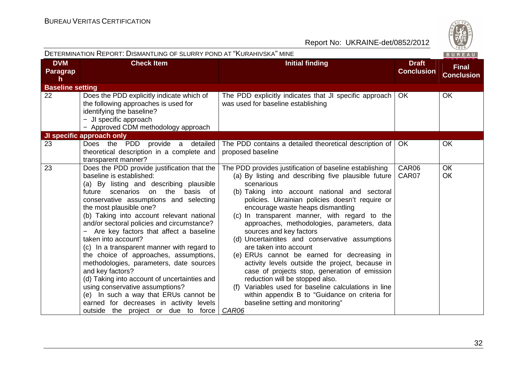|                                    | DETERMINATION REPORT: DISMANTLING OF SLURRY POND AT "KURAHIVSKA" MINE                                                                                                                                                                                                                                                                                                                                                                                                                                                                                                                                                                                                                                                                                           |                                                                                                                                                                                                                                                                                                                                                                                                                                                                                                                                                                                                                                                                                                                                                                                                                               |                                   | BUREAU                            |
|------------------------------------|-----------------------------------------------------------------------------------------------------------------------------------------------------------------------------------------------------------------------------------------------------------------------------------------------------------------------------------------------------------------------------------------------------------------------------------------------------------------------------------------------------------------------------------------------------------------------------------------------------------------------------------------------------------------------------------------------------------------------------------------------------------------|-------------------------------------------------------------------------------------------------------------------------------------------------------------------------------------------------------------------------------------------------------------------------------------------------------------------------------------------------------------------------------------------------------------------------------------------------------------------------------------------------------------------------------------------------------------------------------------------------------------------------------------------------------------------------------------------------------------------------------------------------------------------------------------------------------------------------------|-----------------------------------|-----------------------------------|
| <b>DVM</b><br><b>Paragrap</b><br>h | <b>Check Item</b>                                                                                                                                                                                                                                                                                                                                                                                                                                                                                                                                                                                                                                                                                                                                               | <b>Initial finding</b>                                                                                                                                                                                                                                                                                                                                                                                                                                                                                                                                                                                                                                                                                                                                                                                                        | <b>Draft</b><br><b>Conclusion</b> | <b>Final</b><br><b>Conclusion</b> |
| <b>Baseline setting</b>            |                                                                                                                                                                                                                                                                                                                                                                                                                                                                                                                                                                                                                                                                                                                                                                 |                                                                                                                                                                                                                                                                                                                                                                                                                                                                                                                                                                                                                                                                                                                                                                                                                               |                                   |                                   |
| 22                                 | Does the PDD explicitly indicate which of<br>the following approaches is used for<br>identifying the baseline?<br>- JI specific approach<br>- Approved CDM methodology approach                                                                                                                                                                                                                                                                                                                                                                                                                                                                                                                                                                                 | The PDD explicitly indicates that JI specific approach<br>was used for baseline establishing                                                                                                                                                                                                                                                                                                                                                                                                                                                                                                                                                                                                                                                                                                                                  | <b>OK</b>                         | OK                                |
|                                    | <b>JI specific approach only</b>                                                                                                                                                                                                                                                                                                                                                                                                                                                                                                                                                                                                                                                                                                                                |                                                                                                                                                                                                                                                                                                                                                                                                                                                                                                                                                                                                                                                                                                                                                                                                                               |                                   |                                   |
| 23                                 | Does the PDD provide a<br>detailed<br>theoretical description in a complete and<br>transparent manner?                                                                                                                                                                                                                                                                                                                                                                                                                                                                                                                                                                                                                                                          | The PDD contains a detailed theoretical description of<br>proposed baseline                                                                                                                                                                                                                                                                                                                                                                                                                                                                                                                                                                                                                                                                                                                                                   | <b>OK</b>                         | <b>OK</b>                         |
| 23                                 | Does the PDD provide justification that the<br>baseline is established:<br>(a) By listing and describing plausible<br>future scenarios on the<br>basis of<br>conservative assumptions and selecting<br>the most plausible one?<br>(b) Taking into account relevant national<br>and/or sectoral policies and circumstance?<br>Are key factors that affect a baseline<br>taken into account?<br>(c) In a transparent manner with regard to<br>the choice of approaches, assumptions,<br>methodologies, parameters, date sources<br>and key factors?<br>(d) Taking into account of uncertainties and<br>using conservative assumptions?<br>(e) In such a way that ERUs cannot be<br>earned for decreases in activity levels<br>outside the project or due to force | The PDD provides justification of baseline establishing<br>(a) By listing and describing five plausible future<br>scenarious<br>(b) Taking into account national and sectoral<br>policies. Ukrainian policies doesn't require or<br>encourage waste heaps dismantling<br>(c) In transparent manner, with regard to the<br>approaches, methodologies, parameters, data<br>sources and key factors<br>(d) Uncertaintites and conservative assumptions<br>are taken into account<br>(e) ERUs cannot be earned for decreasing in<br>activity levels outside the project, because in<br>case of projects stop, generation of emission<br>reduction will be stopped also.<br>Variables used for baseline calculations in line<br>(f)<br>within appendix B to "Guidance on criteria for<br>baseline setting and monitoring"<br>CAR06 | CAR06<br>CAR07                    | <b>OK</b><br>OK                   |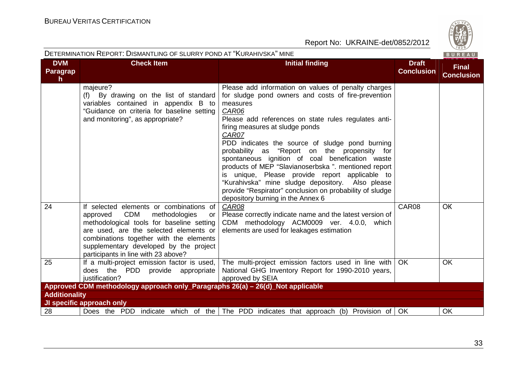

|                                     |                                                                                                                                                                                                                                                                                                             | DETERMINATION REPORT: DISMANTLING OF SLURRY POND AT "KURAHIVSKA" MINE<br>BUREAU                                                                                                                                                                                                                                                                                                                                                                                                                                                                                                                                                                         |                                   |                                   |  |  |
|-------------------------------------|-------------------------------------------------------------------------------------------------------------------------------------------------------------------------------------------------------------------------------------------------------------------------------------------------------------|---------------------------------------------------------------------------------------------------------------------------------------------------------------------------------------------------------------------------------------------------------------------------------------------------------------------------------------------------------------------------------------------------------------------------------------------------------------------------------------------------------------------------------------------------------------------------------------------------------------------------------------------------------|-----------------------------------|-----------------------------------|--|--|
| <b>DVM</b><br><b>Paragrap</b><br>h. | <b>Check Item</b>                                                                                                                                                                                                                                                                                           | <b>Initial finding</b>                                                                                                                                                                                                                                                                                                                                                                                                                                                                                                                                                                                                                                  | <b>Draft</b><br><b>Conclusion</b> | <b>Final</b><br><b>Conclusion</b> |  |  |
|                                     | majeure?<br>(f) By drawing on the list of standard<br>variables contained in appendix B to<br>"Guidance on criteria for baseline setting<br>and monitoring", as appropriate?                                                                                                                                | Please add information on values of penalty charges<br>for sludge pond owners and costs of fire-prevention<br>measures<br>CAR06<br>Please add references on state rules regulates anti-<br>firing measures at sludge ponds<br>CAR07<br>PDD indicates the source of sludge pond burning<br>probability as "Report on the propensity for<br>spontaneous ignition of coal benefication waste<br>products of MEP "Slavianoserbska". mentioned report<br>is unique, Please provide report applicable to<br>"Kurahivska" mine sludge depository. Also please<br>provide "Respirator" conclusion on probability of sludge<br>depository burning in the Annex 6 |                                   |                                   |  |  |
| 24                                  | If selected elements or combinations of<br><b>CDM</b><br>methodologies<br>approved<br>or<br>methodological tools for baseline setting<br>are used, are the selected elements or<br>combinations together with the elements<br>supplementary developed by the project<br>participants in line with 23 above? | CAR08<br>Please correctly indicate name and the latest version of<br>CDM methodology ACM0009 ver. 4.0.0, which<br>elements are used for leakages estimation                                                                                                                                                                                                                                                                                                                                                                                                                                                                                             | CAR08                             | <b>OK</b>                         |  |  |
| 25                                  | If a multi-project emission factor is used,<br>does the PDD provide appropriate<br>justification?                                                                                                                                                                                                           | The multi-project emission factors used in line with<br>National GHG Inventory Report for 1990-2010 years,<br>approved by SEIA                                                                                                                                                                                                                                                                                                                                                                                                                                                                                                                          | OK.                               | <b>OK</b>                         |  |  |
|                                     | Approved CDM methodology approach only_Paragraphs 26(a) – 26(d)_Not applicable                                                                                                                                                                                                                              |                                                                                                                                                                                                                                                                                                                                                                                                                                                                                                                                                                                                                                                         |                                   |                                   |  |  |
| <b>Additionality</b>                |                                                                                                                                                                                                                                                                                                             |                                                                                                                                                                                                                                                                                                                                                                                                                                                                                                                                                                                                                                                         |                                   |                                   |  |  |
|                                     | JI specific approach only                                                                                                                                                                                                                                                                                   |                                                                                                                                                                                                                                                                                                                                                                                                                                                                                                                                                                                                                                                         |                                   |                                   |  |  |
| 28                                  |                                                                                                                                                                                                                                                                                                             | Does the PDD indicate which of the The PDD indicates that approach (b) Provision of OK                                                                                                                                                                                                                                                                                                                                                                                                                                                                                                                                                                  |                                   | <b>OK</b>                         |  |  |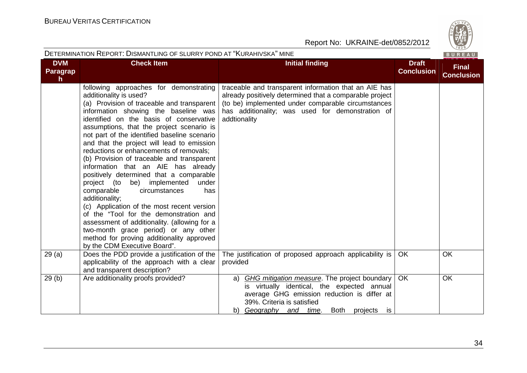

|                                               | DETERMINATION REPORT: DISMANTLING OF SLURRY POND AT "KURAHIVSKA" MINE                                                                                                                                                                                                                                                                                                                                                                                                                                                                                                                                                                                                                                                                                                                                                                                                                |                                                                                                                                                                                                                                            |                                   | BUREAU                            |
|-----------------------------------------------|--------------------------------------------------------------------------------------------------------------------------------------------------------------------------------------------------------------------------------------------------------------------------------------------------------------------------------------------------------------------------------------------------------------------------------------------------------------------------------------------------------------------------------------------------------------------------------------------------------------------------------------------------------------------------------------------------------------------------------------------------------------------------------------------------------------------------------------------------------------------------------------|--------------------------------------------------------------------------------------------------------------------------------------------------------------------------------------------------------------------------------------------|-----------------------------------|-----------------------------------|
| <b>DVM</b><br><b>Paragrap</b><br>$\mathsf{h}$ | <b>Check Item</b>                                                                                                                                                                                                                                                                                                                                                                                                                                                                                                                                                                                                                                                                                                                                                                                                                                                                    | <b>Initial finding</b>                                                                                                                                                                                                                     | <b>Draft</b><br><b>Conclusion</b> | <b>Final</b><br><b>Conclusion</b> |
|                                               | following approaches for demonstrating<br>additionality is used?<br>(a) Provision of traceable and transparent<br>information showing the baseline was<br>identified on the basis of conservative<br>assumptions, that the project scenario is<br>not part of the identified baseline scenario<br>and that the project will lead to emission<br>reductions or enhancements of removals;<br>(b) Provision of traceable and transparent<br>information that an AIE has already<br>positively determined that a comparable<br>project (to be) implemented<br>under<br>comparable<br>circumstances<br>has<br>additionality;<br>(c) Application of the most recent version<br>of the "Tool for the demonstration and<br>assessment of additionality. (allowing for a<br>two-month grace period) or any other<br>method for proving additionality approved<br>by the CDM Executive Board". | traceable and transparent information that an AIE has<br>already positively determined that a comparable project<br>(to be) implemented under comparable circumstances<br>has additionality; was used for demonstration of<br>addtionality |                                   |                                   |
| 29(a)                                         | Does the PDD provide a justification of the<br>applicability of the approach with a clear<br>and transparent description?                                                                                                                                                                                                                                                                                                                                                                                                                                                                                                                                                                                                                                                                                                                                                            | The justification of proposed approach applicability is<br>provided                                                                                                                                                                        | <b>OK</b>                         | OK                                |
| 29(b)                                         | Are additionality proofs provided?                                                                                                                                                                                                                                                                                                                                                                                                                                                                                                                                                                                                                                                                                                                                                                                                                                                   | GHG mitigation measure. The project boundary<br>a)<br>is virtually identical, the expected annual<br>average GHG emission reduction is differ at<br>39%. Criteria is satisfied<br>Both projects<br>b) Geography and time.<br>is            | OK                                | <b>OK</b>                         |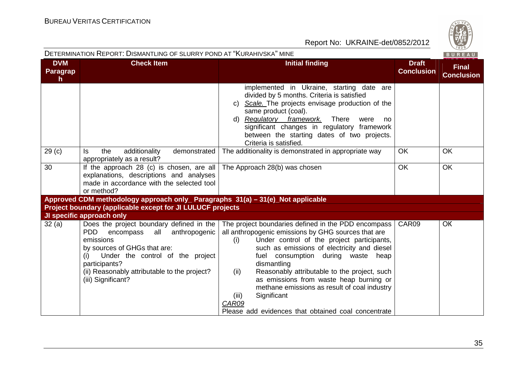| DETERMINATION REPORT: DISMANTLING OF SLURRY POND AT "KURAHIVSKA" MINE<br>BUREAU |                                                                                                                                                                                                                                                                      |                                                                                                                                                                                                                                                                                                                                                                                                                                                                                                                |                                   |                                   |  |
|---------------------------------------------------------------------------------|----------------------------------------------------------------------------------------------------------------------------------------------------------------------------------------------------------------------------------------------------------------------|----------------------------------------------------------------------------------------------------------------------------------------------------------------------------------------------------------------------------------------------------------------------------------------------------------------------------------------------------------------------------------------------------------------------------------------------------------------------------------------------------------------|-----------------------------------|-----------------------------------|--|
| <b>DVM</b><br>Paragrap<br>h.                                                    | <b>Check Item</b>                                                                                                                                                                                                                                                    | <b>Initial finding</b>                                                                                                                                                                                                                                                                                                                                                                                                                                                                                         | <b>Draft</b><br><b>Conclusion</b> | <b>Final</b><br><b>Conclusion</b> |  |
|                                                                                 |                                                                                                                                                                                                                                                                      | implemented in Ukraine, starting date are<br>divided by 5 months. Criteria is satisfied<br>c) Scale. The projects envisage production of the<br>same product (coal).<br>d) Regulatory framework.<br>There<br>were<br>no<br>significant changes in regulatory framework<br>between the starting dates of two projects.<br>Criteria is satisfied.                                                                                                                                                                |                                   |                                   |  |
| 29 <sub>(c)</sub>                                                               | the<br>additionality<br>demonstrated<br>ls.<br>appropriately as a result?                                                                                                                                                                                            | The additionality is demonstrated in appropriate way                                                                                                                                                                                                                                                                                                                                                                                                                                                           | OK                                | OK                                |  |
| 30                                                                              | If the approach 28 (c) is chosen, are all<br>explanations, descriptions and analyses<br>made in accordance with the selected tool<br>or method?                                                                                                                      | The Approach 28(b) was chosen                                                                                                                                                                                                                                                                                                                                                                                                                                                                                  | <b>OK</b>                         | <b>OK</b>                         |  |
|                                                                                 | Approved CDM methodology approach only_ Paragraphs 31(a) – 31(e)_Not applicable                                                                                                                                                                                      |                                                                                                                                                                                                                                                                                                                                                                                                                                                                                                                |                                   |                                   |  |
|                                                                                 | Project boundary (applicable except for JI LULUCF projects                                                                                                                                                                                                           |                                                                                                                                                                                                                                                                                                                                                                                                                                                                                                                |                                   |                                   |  |
|                                                                                 | JI specific approach only                                                                                                                                                                                                                                            |                                                                                                                                                                                                                                                                                                                                                                                                                                                                                                                |                                   |                                   |  |
| 32(a)                                                                           | Does the project boundary defined in the<br>encompass all anthropogenic<br><b>PDD</b><br>emissions<br>by sources of GHGs that are:<br>Under the control of the project<br>(i)<br>participants?<br>(ii) Reasonably attributable to the project?<br>(iii) Significant? | The project boundaries defined in the PDD encompass<br>all anthropogenic emissions by GHG sources that are<br>Under control of the project participants,<br>(i)<br>such as emissions of electricity and diesel<br>fuel consumption during waste heap<br>dismantling<br>Reasonably attributable to the project, such<br>(ii)<br>as emissions from waste heap burning or<br>methane emissions as result of coal industry<br>Significant<br>(iii)<br>CAR09<br>Please add evidences that obtained coal concentrate | CAR09                             | <b>OK</b>                         |  |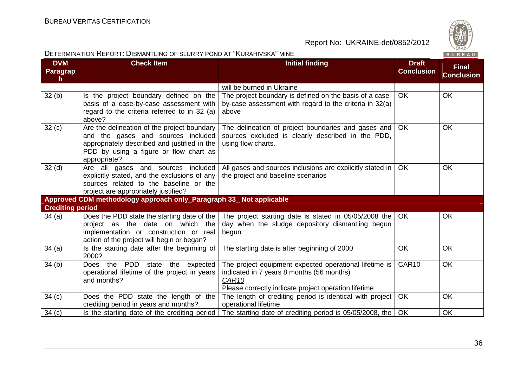

| DETERMINATION REPORT: DISMANTLING OF SLURRY POND AT "KURAHIVSKA" MINE<br>BUREAU |                                                                                                                                                                                             |                                                                                                                                                                                  |                                   |                                   |
|---------------------------------------------------------------------------------|---------------------------------------------------------------------------------------------------------------------------------------------------------------------------------------------|----------------------------------------------------------------------------------------------------------------------------------------------------------------------------------|-----------------------------------|-----------------------------------|
| <b>DVM</b><br>Paragrap<br>$\mathsf{h}$                                          | <b>Check Item</b>                                                                                                                                                                           | <b>Initial finding</b>                                                                                                                                                           | <b>Draft</b><br><b>Conclusion</b> | <b>Final</b><br><b>Conclusion</b> |
|                                                                                 |                                                                                                                                                                                             | will be burned in Ukraine                                                                                                                                                        |                                   |                                   |
| 32(b)                                                                           | Is the project boundary defined on the<br>basis of a case-by-case assessment with<br>regard to the criteria referred to in 32 (a)<br>above?                                                 | The project boundary is defined on the basis of a case-<br>by-case assessment with regard to the criteria in 32(a)<br>above                                                      | OK                                | OK                                |
| 32(c)                                                                           | Are the delineation of the project boundary<br>and the gases and sources included<br>appropriately described and justified in the<br>PDD by using a figure or flow chart as<br>appropriate? | The delineation of project boundaries and gases and<br>sources excluded is clearly described in the PDD,<br>using flow charts.                                                   | OK.                               | OK                                |
| 32 <sub>(d)</sub>                                                               | Are all gases and sources included<br>explicitly stated, and the exclusions of any<br>sources related to the baseline or the<br>project are appropriately justified?                        | All gases and sources inclusions are explicitly stated in<br>the project and baseline scenarios                                                                                  | <b>OK</b>                         | <b>OK</b>                         |
|                                                                                 | Approved CDM methodology approach only_Paragraph 33_ Not applicable                                                                                                                         |                                                                                                                                                                                  |                                   |                                   |
| <b>Crediting period</b>                                                         |                                                                                                                                                                                             |                                                                                                                                                                                  |                                   |                                   |
| 34(a)                                                                           | Does the PDD state the starting date of the<br>project as the date on which the<br>implementation or construction or real<br>action of the project will begin or began?                     | The project starting date is stated in 05/05/2008 the<br>day when the sludge depository dismantling begun<br>begun.                                                              | <b>OK</b>                         | <b>OK</b>                         |
| 34(a)                                                                           | Is the starting date after the beginning of<br>2000?                                                                                                                                        | The starting date is after beginning of 2000                                                                                                                                     | <b>OK</b>                         | OK                                |
| 34(b)                                                                           | PDD<br>Does the<br>expected<br>state<br>the<br>operational lifetime of the project in years<br>and months?                                                                                  | The project equipment expected operational lifetime is<br>indicated in 7 years 8 months (56 months)<br>CAR <sub>10</sub><br>Please correctly indicate project operation lifetime | CAR10                             | OK                                |
| 34(c)                                                                           | Does the PDD state the length of the<br>crediting period in years and months?                                                                                                               | The length of crediting period is identical with project<br>operational lifetime                                                                                                 | OK                                | OK                                |
| 34(c)                                                                           | Is the starting date of the crediting period                                                                                                                                                | The starting date of crediting period is 05/05/2008, the                                                                                                                         | OK                                | OK                                |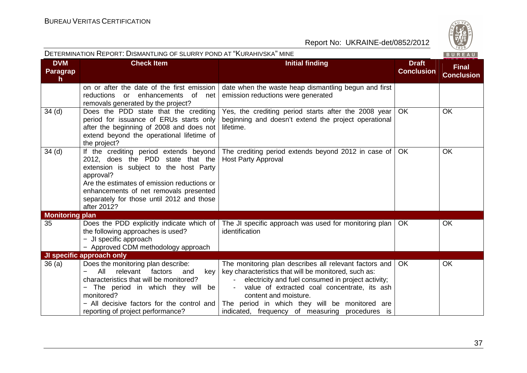| DETERMINATION REPORT: DISMANTLING OF SLURRY POND AT "KURAHIVSKA" MINE<br>BUREAU |                                                                                                                                                                                                                                                                                         |                                                                                                                                                                                                                                                                                                                                                    |                                   |                                   |
|---------------------------------------------------------------------------------|-----------------------------------------------------------------------------------------------------------------------------------------------------------------------------------------------------------------------------------------------------------------------------------------|----------------------------------------------------------------------------------------------------------------------------------------------------------------------------------------------------------------------------------------------------------------------------------------------------------------------------------------------------|-----------------------------------|-----------------------------------|
| <b>DVM</b><br>Paragrap<br>h.                                                    | <b>Check Item</b>                                                                                                                                                                                                                                                                       | <b>Initial finding</b>                                                                                                                                                                                                                                                                                                                             | <b>Draft</b><br><b>Conclusion</b> | <b>Final</b><br><b>Conclusion</b> |
|                                                                                 | on or after the date of the first emission<br>enhancements<br>reductions<br>or<br>of<br>net<br>removals generated by the project?                                                                                                                                                       | date when the waste heap dismantling begun and first<br>emission reductions were generated                                                                                                                                                                                                                                                         |                                   |                                   |
| 34 <sub>(d)</sub>                                                               | Does the PDD state that the crediting<br>period for issuance of ERUs starts only<br>after the beginning of 2008 and does not<br>extend beyond the operational lifetime of<br>the project?                                                                                               | Yes, the crediting period starts after the 2008 year<br>beginning and doesn't extend the project operational<br>lifetime.                                                                                                                                                                                                                          | <b>OK</b>                         | OK                                |
| 34 <sub>(d)</sub>                                                               | If the crediting period extends beyond<br>2012, does the PDD state that the<br>extension is subject to the host Party<br>approval?<br>Are the estimates of emission reductions or<br>enhancements of net removals presented<br>separately for those until 2012 and those<br>after 2012? | The crediting period extends beyond 2012 in case of<br><b>Host Party Approval</b>                                                                                                                                                                                                                                                                  | <b>OK</b>                         | <b>OK</b>                         |
| <b>Monitoring plan</b>                                                          |                                                                                                                                                                                                                                                                                         |                                                                                                                                                                                                                                                                                                                                                    |                                   |                                   |
| 35                                                                              | Does the PDD explicitly indicate which of<br>the following approaches is used?<br>- JI specific approach<br>- Approved CDM methodology approach                                                                                                                                         | The JI specific approach was used for monitoring plan<br>identification                                                                                                                                                                                                                                                                            | OK.                               | <b>OK</b>                         |
|                                                                                 | JI specific approach only                                                                                                                                                                                                                                                               |                                                                                                                                                                                                                                                                                                                                                    |                                   |                                   |
| 36(a)                                                                           | Does the monitoring plan describe:<br>All<br>relevant<br>factors<br>and<br>key<br>characteristics that will be monitored?<br>The period in which they will be<br>monitored?<br>- All decisive factors for the control and<br>reporting of project performance?                          | The monitoring plan describes all relevant factors and<br>key characteristics that will be monitored, such as:<br>electricity and fuel consumed in project activity;<br>value of extracted coal concentrate, its ash<br>content and moisture.<br>The period in which they will be monitored are<br>indicated, frequency of measuring procedures is | <b>OK</b>                         | <b>OK</b>                         |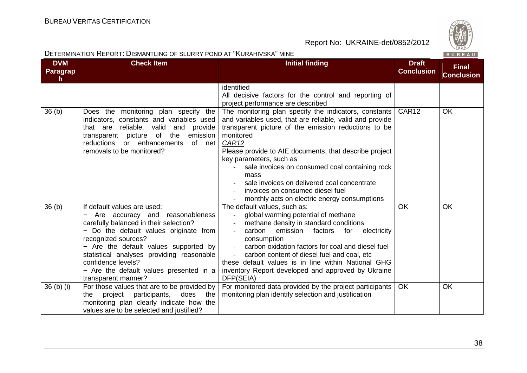

| DETERMINATION REPORT: DISMANTLING OF SLURRY POND AT "KURAHIVSKA" MINE<br>BUREAU |                                                                                                                                                                                                                                                                                                                                                         |                                                                                                                                                                                                                                                                                                                                                                                                                                                                                               |                                   |                                   |
|---------------------------------------------------------------------------------|---------------------------------------------------------------------------------------------------------------------------------------------------------------------------------------------------------------------------------------------------------------------------------------------------------------------------------------------------------|-----------------------------------------------------------------------------------------------------------------------------------------------------------------------------------------------------------------------------------------------------------------------------------------------------------------------------------------------------------------------------------------------------------------------------------------------------------------------------------------------|-----------------------------------|-----------------------------------|
| <b>DVM</b><br>Paragrap<br>h.                                                    | <b>Check Item</b>                                                                                                                                                                                                                                                                                                                                       | <b>Initial finding</b>                                                                                                                                                                                                                                                                                                                                                                                                                                                                        | <b>Draft</b><br><b>Conclusion</b> | <b>Final</b><br><b>Conclusion</b> |
|                                                                                 |                                                                                                                                                                                                                                                                                                                                                         | identified<br>All decisive factors for the control and reporting of<br>project performance are described                                                                                                                                                                                                                                                                                                                                                                                      |                                   |                                   |
| 36 <sub>(b)</sub>                                                               | Does the monitoring plan specify the<br>indicators, constants and variables used<br>that are reliable, valid and provide<br>transparent picture of the<br>emission<br>reductions<br>or enhancements<br>of net<br>removals to be monitored?                                                                                                              | The monitoring plan specify the indicators, constants<br>and variables used, that are reliable, valid and provide<br>transparent picture of the emission reductions to be<br>monitored<br>CAR <sub>12</sub><br>Please provide to AIE documents, that describe project<br>key parameters, such as<br>sale invoices on consumed coal containing rock<br>mass<br>sale invoices on delivered coal concentrate<br>invoices on consumed diesel fuel<br>monthly acts on electric energy consumptions | CAR <sub>12</sub>                 | <b>OK</b>                         |
| 36(b)                                                                           | If default values are used:<br>Are accuracy and reasonableness<br>carefully balanced in their selection?<br>- Do the default values originate from<br>recognized sources?<br>- Are the default values supported by<br>statistical analyses providing reasonable<br>confidence levels?<br>- Are the default values presented in a<br>transparent manner? | The default values, such as:<br>global warming potential of methane<br>$\overline{\phantom{a}}$<br>methane density in standard conditions<br>emission factors<br>carbon<br>for<br>electricity<br>consumption<br>carbon oxidation factors for coal and diesel fuel<br>$\blacksquare$<br>carbon content of diesel fuel and coal, etc<br>these default values is in line within National GHG<br>inventory Report developed and approved by Ukraine<br>DFP(SEIA)                                  | <b>OK</b>                         | <b>OK</b>                         |
| $36$ (b) (i)                                                                    | For those values that are to be provided by<br>project participants,<br>does<br>the<br>the<br>monitoring plan clearly indicate how the<br>values are to be selected and justified?                                                                                                                                                                      | For monitored data provided by the project participants<br>monitoring plan identify selection and justification                                                                                                                                                                                                                                                                                                                                                                               | <b>OK</b>                         | OK                                |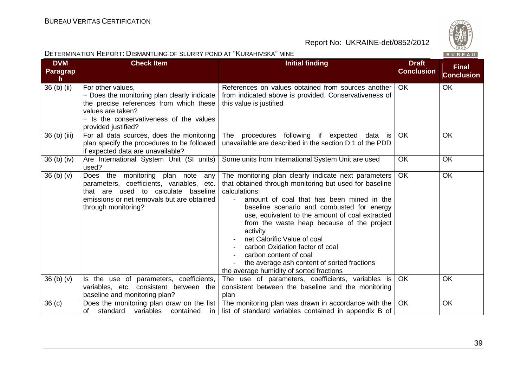

| DETERMINATION REPORT: DISMANTLING OF SLURRY POND AT "KURAHIVSKA" MINE<br>BUREAU |                                                                                                                                                                                                    |                                                                                                                                                                                                                                                                                                                                                                                                                                                                                                                                |                                   |                                   |
|---------------------------------------------------------------------------------|----------------------------------------------------------------------------------------------------------------------------------------------------------------------------------------------------|--------------------------------------------------------------------------------------------------------------------------------------------------------------------------------------------------------------------------------------------------------------------------------------------------------------------------------------------------------------------------------------------------------------------------------------------------------------------------------------------------------------------------------|-----------------------------------|-----------------------------------|
| <b>DVM</b><br><b>Paragrap</b><br>h                                              | <b>Check Item</b>                                                                                                                                                                                  | <b>Initial finding</b>                                                                                                                                                                                                                                                                                                                                                                                                                                                                                                         | <b>Draft</b><br><b>Conclusion</b> | <b>Final</b><br><b>Conclusion</b> |
| 36 (b) (ii)                                                                     | For other values,<br>- Does the monitoring plan clearly indicate<br>the precise references from which these<br>values are taken?<br>- Is the conservativeness of the values<br>provided justified? | References on values obtained from sources another<br>from indicated above is provided. Conservativeness of<br>this value is justified                                                                                                                                                                                                                                                                                                                                                                                         | OK.                               | <b>OK</b>                         |
| 36 (b) (iii)                                                                    | For all data sources, does the monitoring<br>plan specify the procedures to be followed<br>if expected data are unavailable?                                                                       | procedures following if expected data is<br>The<br>unavailable are described in the section D.1 of the PDD                                                                                                                                                                                                                                                                                                                                                                                                                     | <b>OK</b>                         | OK                                |
| $36$ (b) (iv)                                                                   | Are International System Unit (SI units)<br>used?                                                                                                                                                  | Some units from International System Unit are used                                                                                                                                                                                                                                                                                                                                                                                                                                                                             | <b>OK</b>                         | <b>OK</b>                         |
| 36 <sub>(b)</sub> <sub>(v)</sub>                                                | Does the monitoring plan note<br>any<br>parameters, coefficients, variables, etc.<br>that are used to calculate baseline<br>emissions or net removals but are obtained<br>through monitoring?      | The monitoring plan clearly indicate next parameters<br>that obtained through monitoring but used for baseline<br>calculations:<br>amount of coal that has been mined in the<br>baseline scenario and combusted for energy<br>use, equivalent to the amount of coal extracted<br>from the waste heap because of the project<br>activity<br>net Calorific Value of coal<br>carbon Oxidation factor of coal<br>carbon content of coal<br>the average ash content of sorted fractions<br>the average humidity of sorted fractions | OK                                | <b>OK</b>                         |
| 36 <sub>(b)</sub> <sub>(v)</sub>                                                | Is the use of parameters, coefficients,<br>variables, etc. consistent between the<br>baseline and monitoring plan?                                                                                 | The use of parameters, coefficients, variables is<br>consistent between the baseline and the monitoring<br>plan                                                                                                                                                                                                                                                                                                                                                                                                                | <b>OK</b>                         | <b>OK</b>                         |
| 36 <sub>(c)</sub>                                                               | Does the monitoring plan draw on the list<br>standard<br>variables<br>contained<br>of<br>in                                                                                                        | The monitoring plan was drawn in accordance with the<br>list of standard variables contained in appendix B of                                                                                                                                                                                                                                                                                                                                                                                                                  | OK                                | OK                                |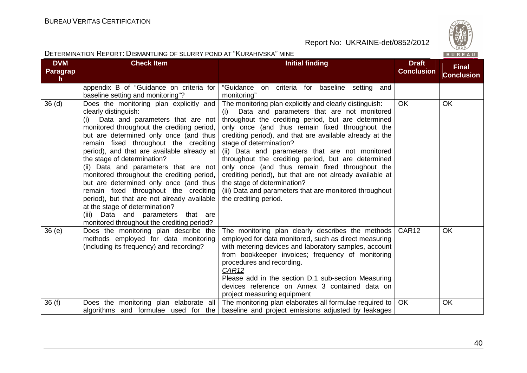

| DETERMINATION REPORT: DISMANTLING OF SLURRY POND AT "KURAHIVSKA" MINE<br>BUREAU |                                                                                                                                                                                                                                                                                                                                                                                                                                                                                                                                                                                                                                                                      |                                                                                                                                                                                                                                                                                                                                                                                                                                                                                                                                                                                                                                                             |                                   |                                   |
|---------------------------------------------------------------------------------|----------------------------------------------------------------------------------------------------------------------------------------------------------------------------------------------------------------------------------------------------------------------------------------------------------------------------------------------------------------------------------------------------------------------------------------------------------------------------------------------------------------------------------------------------------------------------------------------------------------------------------------------------------------------|-------------------------------------------------------------------------------------------------------------------------------------------------------------------------------------------------------------------------------------------------------------------------------------------------------------------------------------------------------------------------------------------------------------------------------------------------------------------------------------------------------------------------------------------------------------------------------------------------------------------------------------------------------------|-----------------------------------|-----------------------------------|
| <b>DVM</b><br><b>Paragrap</b><br>$\mathsf{h}$                                   | <b>Check Item</b>                                                                                                                                                                                                                                                                                                                                                                                                                                                                                                                                                                                                                                                    | <b>Initial finding</b>                                                                                                                                                                                                                                                                                                                                                                                                                                                                                                                                                                                                                                      | <b>Draft</b><br><b>Conclusion</b> | <b>Final</b><br><b>Conclusion</b> |
|                                                                                 | appendix B of "Guidance on criteria for<br>baseline setting and monitoring"?                                                                                                                                                                                                                                                                                                                                                                                                                                                                                                                                                                                         | "Guidance on<br>criteria for baseline setting and<br>monitoring"                                                                                                                                                                                                                                                                                                                                                                                                                                                                                                                                                                                            |                                   |                                   |
| 36 <sub>(d)</sub>                                                               | Does the monitoring plan explicitly and<br>clearly distinguish:<br>(i) Data and parameters that are not<br>monitored throughout the crediting period,<br>but are determined only once (and thus<br>remain fixed throughout the crediting<br>period), and that are available already at<br>the stage of determination?<br>(ii) Data and parameters that are not<br>monitored throughout the crediting period,<br>but are determined only once (and thus<br>remain fixed throughout the crediting<br>period), but that are not already available<br>at the stage of determination?<br>(iii) Data and parameters that are<br>monitored throughout the crediting period? | The monitoring plan explicitly and clearly distinguish:<br>Data and parameters that are not monitored<br>(i)<br>throughout the crediting period, but are determined<br>only once (and thus remain fixed throughout the<br>crediting period), and that are available already at the<br>stage of determination?<br>(ii) Data and parameters that are not monitored<br>throughout the crediting period, but are determined<br>only once (and thus remain fixed throughout the<br>crediting period), but that are not already available at<br>the stage of determination?<br>(iii) Data and parameters that are monitored throughout  <br>the crediting period. | <b>OK</b>                         | OK                                |
| 36(e)                                                                           | Does the monitoring plan describe the<br>methods employed for data monitoring<br>(including its frequency) and recording?                                                                                                                                                                                                                                                                                                                                                                                                                                                                                                                                            | The monitoring plan clearly describes the methods<br>employed for data monitored, such as direct measuring<br>with metering devices and laboratory samples, account<br>from bookkeeper invoices; frequency of monitoring<br>procedures and recording.<br>CAR12<br>Please add in the section D.1 sub-section Measuring<br>devices reference on Annex 3 contained data on<br>project measuring equipment                                                                                                                                                                                                                                                      | CAR <sub>12</sub>                 | <b>OK</b>                         |
| 36(f)                                                                           | Does the monitoring plan elaborate all<br>algorithms and formulae used for the                                                                                                                                                                                                                                                                                                                                                                                                                                                                                                                                                                                       | The monitoring plan elaborates all formulae required to  <br>baseline and project emissions adjusted by leakages                                                                                                                                                                                                                                                                                                                                                                                                                                                                                                                                            | OK.                               | OK                                |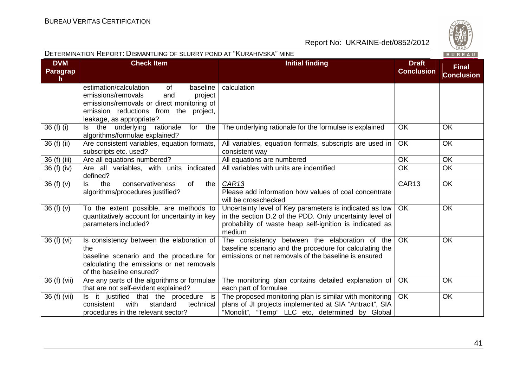| DETERMINATION REPORT: DISMANTLING OF SLURRY POND AT "KURAHIVSKA" MINE<br>BUREAU |                                                                                                                                                                                                     |                                                                                                                                                                                          |                                   |                                   |
|---------------------------------------------------------------------------------|-----------------------------------------------------------------------------------------------------------------------------------------------------------------------------------------------------|------------------------------------------------------------------------------------------------------------------------------------------------------------------------------------------|-----------------------------------|-----------------------------------|
| <b>DVM</b><br>Paragrap<br>h                                                     | <b>Check Item</b>                                                                                                                                                                                   | <b>Initial finding</b>                                                                                                                                                                   | <b>Draft</b><br><b>Conclusion</b> | <b>Final</b><br><b>Conclusion</b> |
|                                                                                 | estimation/calculation<br>of<br>baseline<br>emissions/removals<br>and<br>project<br>emissions/removals or direct monitoring of<br>emission reductions from the project,<br>leakage, as appropriate? | calculation                                                                                                                                                                              |                                   |                                   |
| 36 (f) (i)                                                                      | Is the underlying<br>rationale<br>for the<br>algorithms/formulae explained?                                                                                                                         | The underlying rationale for the formulae is explained                                                                                                                                   | <b>OK</b>                         | OK                                |
| 36 (f) (ii)                                                                     | Are consistent variables, equation formats,<br>subscripts etc. used?                                                                                                                                | All variables, equation formats, subscripts are used in<br>consistent way                                                                                                                | <b>OK</b>                         | OK                                |
| 36 (f) (iii)                                                                    | Are all equations numbered?                                                                                                                                                                         | All equations are numbered                                                                                                                                                               | OK.                               | <b>OK</b>                         |
| 36 (f) (iv)                                                                     | Are all variables, with units indicated<br>defined?                                                                                                                                                 | All variables with units are indentified                                                                                                                                                 | <b>OK</b>                         | <b>OK</b>                         |
| 36(f)(v)                                                                        | the<br>conservativeness<br>ls.<br>0f<br>the I<br>algorithms/procedures justified?                                                                                                                   | CAR <sub>13</sub><br>Please add information how values of coal concentrate<br>will be crosschecked                                                                                       | CAR13                             | <b>OK</b>                         |
| 36(f)(v)                                                                        | To the extent possible, are methods to<br>quantitatively account for uncertainty in key<br>parameters included?                                                                                     | Uncertainty level of Key parameters is indicated as low<br>in the section D.2 of the PDD. Only uncertainty level of<br>probability of waste heap self-ignition is indicated as<br>medium | OK                                | OK                                |
| 36 (f) (vi)                                                                     | Is consistency between the elaboration of<br>the<br>baseline scenario and the procedure for<br>calculating the emissions or net removals<br>of the baseline ensured?                                | The consistency between the elaboration of the<br>baseline scenario and the procedure for calculating the<br>emissions or net removals of the baseline is ensured                        | <b>OK</b>                         | OK                                |
| 36 (f) (vii)                                                                    | Are any parts of the algorithms or formulae<br>that are not self-evident explained?                                                                                                                 | The monitoring plan contains detailed explanation of<br>each part of formulae                                                                                                            | OK                                | OK                                |
| 36 (f) (vii)                                                                    | Is it justified that the procedure is<br>consistent<br>standard<br>with<br>technical<br>procedures in the relevant sector?                                                                          | The proposed monitoring plan is similar with monitoring<br>plans of JI projects implemented at SIA "Antracit", SIA<br>"Monolit", "Temp" LLC etc, determined by Global                    | <b>OK</b>                         | OK                                |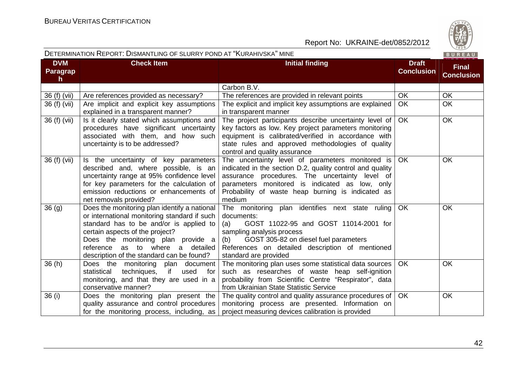

|                                               | DETERMINATION NEPORT. DISMANTEING OF SLUKKT POND AT INURAHIVSNA IMINE                                                                                                                                                                                                                             |                                                                                                                                                                                                                                                                                  |                                   | B U R E A U                       |
|-----------------------------------------------|---------------------------------------------------------------------------------------------------------------------------------------------------------------------------------------------------------------------------------------------------------------------------------------------------|----------------------------------------------------------------------------------------------------------------------------------------------------------------------------------------------------------------------------------------------------------------------------------|-----------------------------------|-----------------------------------|
| <b>DVM</b><br><b>Paragrap</b><br>$\mathsf{h}$ | <b>Check Item</b>                                                                                                                                                                                                                                                                                 | <b>Initial finding</b>                                                                                                                                                                                                                                                           | <b>Draft</b><br><b>Conclusion</b> | <b>Final</b><br><b>Conclusion</b> |
|                                               |                                                                                                                                                                                                                                                                                                   | Carbon B.V.                                                                                                                                                                                                                                                                      |                                   |                                   |
| 36 (f) (vii)                                  | Are references provided as necessary?                                                                                                                                                                                                                                                             | The references are provided in relevant points                                                                                                                                                                                                                                   | <b>OK</b>                         | OK                                |
| 36 (f) (vii)                                  | Are implicit and explicit key assumptions<br>explained in a transparent manner?                                                                                                                                                                                                                   | The explicit and implicit key assumptions are explained<br>in transparent manner                                                                                                                                                                                                 | OK                                | OK                                |
| 36 (f) (vii)                                  | Is it clearly stated which assumptions and<br>procedures have significant uncertainty<br>associated with them, and how such<br>uncertainty is to be addressed?                                                                                                                                    | The project participants describe uncertainty level of<br>key factors as low. Key project parameters monitoring<br>equipment is calibrated/verified in accordance with<br>state rules and approved methodologies of quality<br>control and quality assurance                     | OK.                               | OK                                |
| 36 (f) (vii)                                  | Is the uncertainty of key parameters<br>described and, where possible, is an<br>uncertainty range at 95% confidence level<br>for key parameters for the calculation of<br>emission reductions or enhancements of<br>net removals provided?                                                        | The uncertainty level of parameters monitored is<br>indicated in the section D.2, quality control and quality<br>assurance procedures. The uncertainty level of<br>parameters monitored is indicated as low, only<br>Probability of waste heap burning is indicated as<br>medium | <b>OK</b>                         | <b>OK</b>                         |
| 36(9)                                         | Does the monitoring plan identify a national<br>or international monitoring standard if such<br>standard has to be and/or is applied to<br>certain aspects of the project?<br>Does the monitoring plan provide a<br>reference as to where a detailed<br>description of the standard can be found? | The monitoring plan identifies next state ruling<br>documents:<br>GOST 11022-95 and GOST 11014-2001 for<br>(a)<br>sampling analysis process<br>GOST 305-82 on diesel fuel parameters<br>(b)<br>References on detailed description of mentioned<br>standard are provided          | OK                                | OK                                |
| 36(h)                                         | Does the monitoring plan document<br>if<br>statistical<br>techniques,<br>used<br>for<br>monitoring, and that they are used in a<br>conservative manner?                                                                                                                                           | The monitoring plan uses some statistical data sources<br>such as researches of waste heap self-ignition<br>probability from Scientific Centre "Respirator", data<br>from Ukrainian State Statistic Service                                                                      | OK.                               | <b>OK</b>                         |
| 36(i)                                         | Does the monitoring plan present the<br>quality assurance and control procedures<br>for the monitoring process, including, as                                                                                                                                                                     | The quality control and quality assurance procedures of<br>monitoring process are presented. Information on<br>project measuring devices calibration is provided                                                                                                                 | <b>OK</b>                         | OK                                |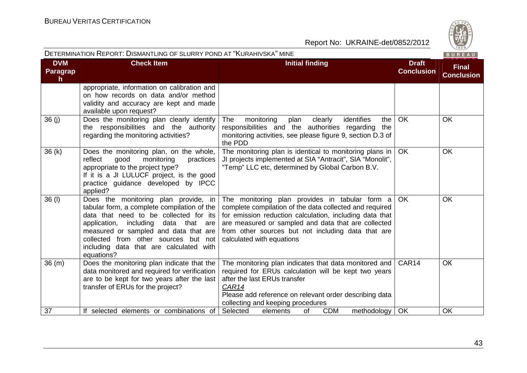

| DETERMINATION REPORT: DISMANTLING OF SLURRY POND AT "KURAHIVSKA" MINE<br>BUREAU |                                                                                                                                                                                                                                                                                                                 |                                                                                                                                                                                                                                                                                                                |                                   |                                   |
|---------------------------------------------------------------------------------|-----------------------------------------------------------------------------------------------------------------------------------------------------------------------------------------------------------------------------------------------------------------------------------------------------------------|----------------------------------------------------------------------------------------------------------------------------------------------------------------------------------------------------------------------------------------------------------------------------------------------------------------|-----------------------------------|-----------------------------------|
| <b>DVM</b><br>Paragrap<br>h.                                                    | <b>Check Item</b>                                                                                                                                                                                                                                                                                               | <b>Initial finding</b>                                                                                                                                                                                                                                                                                         | <b>Draft</b><br><b>Conclusion</b> | <b>Final</b><br><b>Conclusion</b> |
|                                                                                 | appropriate, information on calibration and<br>on how records on data and/or method<br>validity and accuracy are kept and made<br>available upon request?                                                                                                                                                       |                                                                                                                                                                                                                                                                                                                |                                   |                                   |
| 36(j)                                                                           | Does the monitoring plan clearly identify<br>the responsibilities and the authority<br>regarding the monitoring activities?                                                                                                                                                                                     | identifies<br>The<br>monitoring<br>plan<br>clearly<br>the<br>responsibilities and the authorities regarding<br>the<br>monitoring activities, see please figure 9, section D.3 of<br>the PDD                                                                                                                    | <b>OK</b>                         | OK                                |
| 36(k)                                                                           | Does the monitoring plan, on the whole,<br>reflect<br>good<br>monitoring<br>practices<br>appropriate to the project type?<br>If it is a JI LULUCF project, is the good<br>practice quidance developed by IPCC<br>applied?                                                                                       | The monitoring plan is identical to monitoring plans in<br>JI projects implemented at SIA "Antracit", SIA "Monolit",<br>"Temp" LLC etc, determined by Global Carbon B.V.                                                                                                                                       | <b>OK</b>                         | OK                                |
| 36 (I)                                                                          | Does the monitoring plan provide, in<br>tabular form, a complete compilation of the<br>data that need to be collected for its<br>application, including data that are<br>measured or sampled and data that are<br>collected from other sources but not<br>including data that are calculated with<br>equations? | The monitoring plan provides in tabular form a<br>complete compilation of the data collected and required<br>for emission reduction calculation, including data that<br>are measured or sampled and data that are collected<br>from other sources but not including data that are<br>calculated with equations | <b>OK</b>                         | <b>OK</b>                         |
| 36(m)                                                                           | Does the monitoring plan indicate that the<br>data monitored and required for verification<br>are to be kept for two years after the last<br>transfer of ERUs for the project?                                                                                                                                  | The monitoring plan indicates that data monitored and<br>required for ERUs calculation will be kept two years<br>after the last ERUs transfer<br>CAR14<br>Please add reference on relevant order describing data<br>collecting and keeping procedures                                                          | CAR14                             | <b>OK</b>                         |
| 37                                                                              | If selected elements or combinations of                                                                                                                                                                                                                                                                         | <b>CDM</b><br>Selected<br>of<br>methodology  <br>elements                                                                                                                                                                                                                                                      | OK                                | <b>OK</b>                         |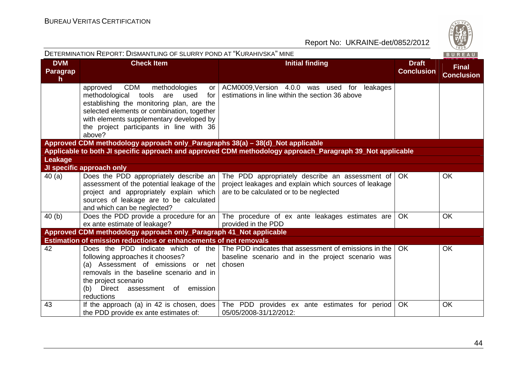

|                                               | DETERMINATION REPORT: DISMANTLING OF SLURRY POND AT "KURAHIVSKA" MINE                                                                                                                                                                                                                       |                                                                                                                                                         |                                   | BUREAU                            |
|-----------------------------------------------|---------------------------------------------------------------------------------------------------------------------------------------------------------------------------------------------------------------------------------------------------------------------------------------------|---------------------------------------------------------------------------------------------------------------------------------------------------------|-----------------------------------|-----------------------------------|
| <b>DVM</b><br><b>Paragrap</b><br>$\mathsf{h}$ | <b>Check Item</b>                                                                                                                                                                                                                                                                           | <b>Initial finding</b>                                                                                                                                  | <b>Draft</b><br><b>Conclusion</b> | <b>Final</b><br><b>Conclusion</b> |
|                                               | <b>CDM</b><br>approved<br>methodologies<br>or<br>methodological<br>tools<br>are<br>used<br>for<br>establishing the monitoring plan, are the<br>selected elements or combination, together<br>with elements supplementary developed by<br>the project participants in line with 36<br>above? | ACM0009, Version 4.0.0 was used for leakages<br>estimations in line within the section 36 above                                                         |                                   |                                   |
|                                               | Approved CDM methodology approach only_Paragraphs 38(a) – 38(d)_Not applicable                                                                                                                                                                                                              |                                                                                                                                                         |                                   |                                   |
|                                               |                                                                                                                                                                                                                                                                                             | Applicable to both JI specific approach and approved CDM methodology approach_Paragraph 39_Not applicable                                               |                                   |                                   |
| <b>Leakage</b>                                |                                                                                                                                                                                                                                                                                             |                                                                                                                                                         |                                   |                                   |
| 40(a)                                         | JI specific approach only<br>Does the PDD appropriately describe an                                                                                                                                                                                                                         | The PDD appropriately describe an assessment of                                                                                                         | OK.                               | <b>OK</b>                         |
|                                               | assessment of the potential leakage of the<br>project and appropriately explain which<br>sources of leakage are to be calculated<br>and which can be neglected?                                                                                                                             | project leakages and explain which sources of leakage<br>are to be calculated or to be neglected                                                        |                                   |                                   |
| 40 (b)                                        | ex ante estimate of leakage?                                                                                                                                                                                                                                                                | Does the PDD provide a procedure for an The procedure of ex ante leakages estimates are<br>provided in the PDD                                          | <b>OK</b>                         | <b>OK</b>                         |
|                                               | Approved CDM methodology approach only_Paragraph 41_Not applicable                                                                                                                                                                                                                          |                                                                                                                                                         |                                   |                                   |
|                                               | <b>Estimation of emission reductions or enhancements of net removals</b>                                                                                                                                                                                                                    |                                                                                                                                                         |                                   |                                   |
| 42                                            | following approaches it chooses?<br>(a) Assessment of emissions or net<br>removals in the baseline scenario and in<br>the project scenario<br>(b) Direct assessment of emission<br>reductions                                                                                               | Does the PDD indicate which of the The PDD indicates that assessment of emissions in the<br>baseline scenario and in the project scenario was<br>chosen | <b>OK</b>                         | OK                                |
| 43                                            | If the approach (a) in 42 is chosen, does $\vert$<br>the PDD provide ex ante estimates of:                                                                                                                                                                                                  | The PDD provides ex ante estimates for period<br>05/05/2008-31/12/2012:                                                                                 | OK                                | OK                                |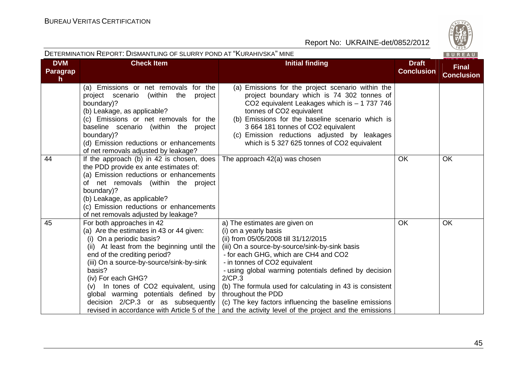

| <b>DETERMINATION REPORT: DISMANTLING OF SLURRY POND AT "KURAHIVSKA" MINE</b> |                                                                                                                                                                                                                                                                                                                                                                                                                                      |                                                                                                                                                                                                                                                                                                                                                                                                                                                                                                      |                                   | $\vee$ 829/<br>BUREAU             |
|------------------------------------------------------------------------------|--------------------------------------------------------------------------------------------------------------------------------------------------------------------------------------------------------------------------------------------------------------------------------------------------------------------------------------------------------------------------------------------------------------------------------------|------------------------------------------------------------------------------------------------------------------------------------------------------------------------------------------------------------------------------------------------------------------------------------------------------------------------------------------------------------------------------------------------------------------------------------------------------------------------------------------------------|-----------------------------------|-----------------------------------|
| <b>DVM</b><br><b>Paragrap</b><br>h                                           | <b>Check Item</b>                                                                                                                                                                                                                                                                                                                                                                                                                    | <b>Initial finding</b>                                                                                                                                                                                                                                                                                                                                                                                                                                                                               | <b>Draft</b><br><b>Conclusion</b> | <b>Final</b><br><b>Conclusion</b> |
|                                                                              | (a) Emissions or net removals for the<br>project scenario<br>(within<br>the<br>project<br>boundary)?<br>(b) Leakage, as applicable?<br>(c) Emissions or net removals for the<br>baseline scenario (within the project<br>boundary)?<br>(d) Emission reductions or enhancements<br>of net removals adjusted by leakage?                                                                                                               | (a) Emissions for the project scenario within the<br>project boundary which is 74 302 tonnes of<br>CO2 equivalent Leakages which is - 1 737 746<br>tonnes of CO2 equivalent<br>(b) Emissions for the baseline scenario which is<br>3 664 181 tonnes of CO2 equivalent<br>(c) Emission reductions adjusted by leakages<br>which is 5 327 625 tonnes of CO2 equivalent                                                                                                                                 |                                   |                                   |
| 44                                                                           | If the approach (b) in 42 is chosen, does<br>the PDD provide ex ante estimates of:<br>(a) Emission reductions or enhancements<br>of net removals (within the project<br>boundary)?<br>(b) Leakage, as applicable?<br>(c) Emission reductions or enhancements<br>of net removals adjusted by leakage?                                                                                                                                 | The approach 42(a) was chosen                                                                                                                                                                                                                                                                                                                                                                                                                                                                        | OK                                | OK                                |
| 45                                                                           | For both approaches in 42<br>(a) Are the estimates in 43 or 44 given:<br>(i) On a periodic basis?<br>(ii) At least from the beginning until the<br>end of the crediting period?<br>(iii) On a source-by-source/sink-by-sink<br>basis?<br>(iv) For each GHG?<br>In tones of CO2 equivalent, using<br>(V)<br>global warming potentials defined by<br>decision 2/CP.3 or as subsequently<br>revised in accordance with Article 5 of the | a) The estimates are given on<br>(i) on a yearly basis<br>(ii) from 05/05/2008 till 31/12/2015<br>(iii) On a source-by-source/sink-by-sink basis<br>- for each GHG, which are CH4 and CO2<br>- in tonnes of CO2 equivalent<br>- using global warming potentials defined by decision<br>2/CP.3<br>(b) The formula used for calculating in 43 is consistent<br>throughout the PDD<br>(c) The key factors influencing the baseline emissions<br>and the activity level of the project and the emissions | OK                                | OK                                |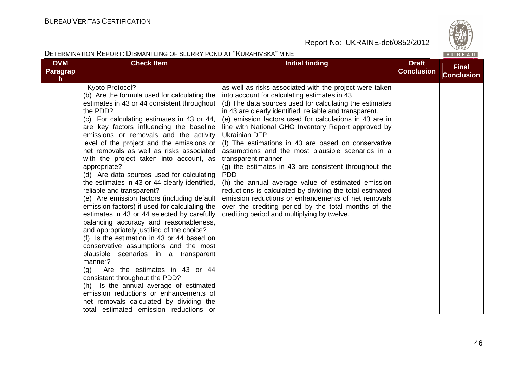

|                                    | DETERMINATION REPORT: DISMANTLING OF SLURRY POND AT "KURAHIVSKA" MINE                                                                                                                                                                                                                                                                                                                                                                                                                                                                                                                                                                                                                                                                                                                                                                                                                                                                                                                                                                                                                                                                                                             |                                                                                                                                                                                                                                                                                                                                                                                                                                                                                                                                                                                                                                                                                                                                                                                                                                                                  |                                   | BUREAU                            |
|------------------------------------|-----------------------------------------------------------------------------------------------------------------------------------------------------------------------------------------------------------------------------------------------------------------------------------------------------------------------------------------------------------------------------------------------------------------------------------------------------------------------------------------------------------------------------------------------------------------------------------------------------------------------------------------------------------------------------------------------------------------------------------------------------------------------------------------------------------------------------------------------------------------------------------------------------------------------------------------------------------------------------------------------------------------------------------------------------------------------------------------------------------------------------------------------------------------------------------|------------------------------------------------------------------------------------------------------------------------------------------------------------------------------------------------------------------------------------------------------------------------------------------------------------------------------------------------------------------------------------------------------------------------------------------------------------------------------------------------------------------------------------------------------------------------------------------------------------------------------------------------------------------------------------------------------------------------------------------------------------------------------------------------------------------------------------------------------------------|-----------------------------------|-----------------------------------|
| <b>DVM</b><br><b>Paragrap</b><br>h | <b>Check Item</b>                                                                                                                                                                                                                                                                                                                                                                                                                                                                                                                                                                                                                                                                                                                                                                                                                                                                                                                                                                                                                                                                                                                                                                 | <b>Initial finding</b>                                                                                                                                                                                                                                                                                                                                                                                                                                                                                                                                                                                                                                                                                                                                                                                                                                           | <b>Draft</b><br><b>Conclusion</b> | <b>Final</b><br><b>Conclusion</b> |
|                                    | Kyoto Protocol?<br>(b) Are the formula used for calculating the<br>estimates in 43 or 44 consistent throughout<br>the PDD?<br>(c) For calculating estimates in 43 or 44,<br>are key factors influencing the baseline<br>emissions or removals and the activity<br>level of the project and the emissions or<br>net removals as well as risks associated<br>with the project taken into account, as<br>appropriate?<br>(d) Are data sources used for calculating<br>the estimates in 43 or 44 clearly identified,<br>reliable and transparent?<br>(e) Are emission factors (including default<br>emission factors) if used for calculating the<br>estimates in 43 or 44 selected by carefully<br>balancing accuracy and reasonableness,<br>and appropriately justified of the choice?<br>(f) Is the estimation in 43 or 44 based on<br>conservative assumptions and the most<br>plausible scenarios in a transparent<br>manner?<br>Are the estimates in 43 or 44<br>(g)<br>consistent throughout the PDD?<br>(h) Is the annual average of estimated<br>emission reductions or enhancements of<br>net removals calculated by dividing the<br>total estimated emission reductions or | as well as risks associated with the project were taken<br>into account for calculating estimates in 43<br>(d) The data sources used for calculating the estimates<br>in 43 are clearly identified, reliable and transparent.<br>(e) emission factors used for calculations in 43 are in<br>line with National GHG Inventory Report approved by<br><b>Ukrainian DFP</b><br>(f) The estimations in 43 are based on conservative<br>assumptions and the most plausible scenarios in a<br>transparent manner<br>(g) the estimates in 43 are consistent throughout the<br><b>PDD</b><br>(h) the annual average value of estimated emission<br>reductions is calculated by dividing the total estimated<br>emission reductions or enhancements of net removals<br>over the crediting period by the total months of the<br>crediting period and multiplying by twelve. |                                   |                                   |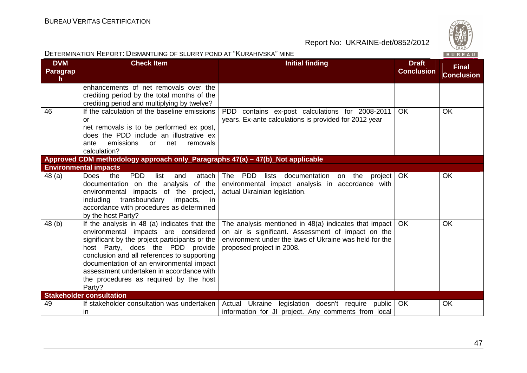| DETERMINATION REPORT: DISMANTLING OF SLURRY POND AT "KURAHIVSKA" MINE<br>BUREAU |                                                                                                                                                                                                                                                                                                                                                                       |                                                                                                                                                                                                    |           |                                   |  |  |
|---------------------------------------------------------------------------------|-----------------------------------------------------------------------------------------------------------------------------------------------------------------------------------------------------------------------------------------------------------------------------------------------------------------------------------------------------------------------|----------------------------------------------------------------------------------------------------------------------------------------------------------------------------------------------------|-----------|-----------------------------------|--|--|
| <b>DVM</b><br><b>Paragrap</b><br>h.                                             | <b>Check Item</b><br><b>Initial finding</b>                                                                                                                                                                                                                                                                                                                           |                                                                                                                                                                                                    |           | <b>Final</b><br><b>Conclusion</b> |  |  |
|                                                                                 | enhancements of net removals over the<br>crediting period by the total months of the<br>crediting period and multiplying by twelve?                                                                                                                                                                                                                                   |                                                                                                                                                                                                    |           |                                   |  |  |
| 46                                                                              | If the calculation of the baseline emissions<br>or<br>net removals is to be performed ex post,<br>does the PDD include an illustrative ex<br>emissions<br>removals<br>ante<br>net<br><b>or</b><br>calculation?                                                                                                                                                        | PDD contains ex-post calculations for 2008-2011<br>years. Ex-ante calculations is provided for 2012 year                                                                                           | OK.       | <b>OK</b>                         |  |  |
|                                                                                 | Approved CDM methodology approach only_Paragraphs 47(a) - 47(b)_Not applicable                                                                                                                                                                                                                                                                                        |                                                                                                                                                                                                    |           |                                   |  |  |
|                                                                                 | <b>Environmental impacts</b>                                                                                                                                                                                                                                                                                                                                          |                                                                                                                                                                                                    |           |                                   |  |  |
| 48 (a)                                                                          | <b>Does</b><br><b>PDD</b><br>the<br>list<br>attach<br>and<br>documentation on the analysis<br>of the<br>environmental impacts of the project,<br>transboundary<br>including<br>impacts, in<br>accordance with procedures as determined<br>by the host Party?                                                                                                          | The PDD<br>lists<br>documentation<br>on the project<br>environmental impact analysis in accordance with<br>actual Ukrainian legislation.                                                           | <b>OK</b> | <b>OK</b>                         |  |  |
| 48 (b)                                                                          | If the analysis in 48 (a) indicates that the<br>environmental impacts are considered<br>significant by the project participants or the<br>host Party, does the PDD provide<br>conclusion and all references to supporting<br>documentation of an environmental impact<br>assessment undertaken in accordance with<br>the procedures as required by the host<br>Party? | The analysis mentioned in 48(a) indicates that impact<br>on air is significant. Assessment of impact on the<br>environment under the laws of Ukraine was held for the<br>proposed project in 2008. | OK.       | <b>OK</b>                         |  |  |
|                                                                                 | <b>Stakeholder consultation</b>                                                                                                                                                                                                                                                                                                                                       |                                                                                                                                                                                                    |           |                                   |  |  |
| 49                                                                              | If stakeholder consultation was undertaken<br><i>in</i>                                                                                                                                                                                                                                                                                                               | Actual Ukraine legislation doesn't require public<br>information for JI project. Any comments from local                                                                                           | <b>OK</b> | OK                                |  |  |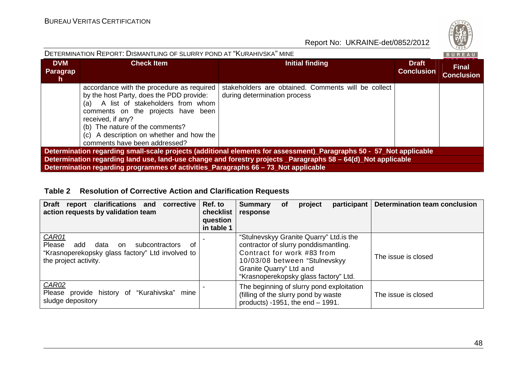| DETERMINATION REPORT: DISMANTLING OF SLURRY POND AT "KURAHIVSKA" MINE                                                                                                                               |                                                                                                                                                                                                                                                                                                          |                                                                                     |                            |                                   |  |  |  |  |
|-----------------------------------------------------------------------------------------------------------------------------------------------------------------------------------------------------|----------------------------------------------------------------------------------------------------------------------------------------------------------------------------------------------------------------------------------------------------------------------------------------------------------|-------------------------------------------------------------------------------------|----------------------------|-----------------------------------|--|--|--|--|
| <b>DVM</b><br>Paragrap<br><b>n</b>                                                                                                                                                                  | <b>Check Item</b>                                                                                                                                                                                                                                                                                        | Initial finding                                                                     | Draft<br><b>Conclusion</b> | <b>Final</b><br><b>Conclusion</b> |  |  |  |  |
|                                                                                                                                                                                                     | accordance with the procedure as required<br>by the host Party, does the PDD provide:<br>(a) A list of stakeholders from whom<br>comments on the projects have been<br>received, if any?<br>(b) The nature of the comments?<br>(c) A description on whether and how the<br>comments have been addressed? | stakeholders are obtained. Comments will be collect<br>during determination process |                            |                                   |  |  |  |  |
| Determination regarding small-scale projects (additional elements for assessment)_Paragraphs 50 - 57_Not applicable                                                                                 |                                                                                                                                                                                                                                                                                                          |                                                                                     |                            |                                   |  |  |  |  |
| Determination regarding land use, land-use change and forestry projects _Paragraphs 58 - 64(d)_Not applicable<br>Determination regarding programmes of activities_Paragraphs 66 – 73_Not applicable |                                                                                                                                                                                                                                                                                                          |                                                                                     |                            |                                   |  |  |  |  |
|                                                                                                                                                                                                     |                                                                                                                                                                                                                                                                                                          |                                                                                     |                            |                                   |  |  |  |  |

## **Table 2 Resolution of Corrective Action and Clarification Requests**

| Draft report clarifications and<br>corrective<br>action requests by validation team                                                               | Ref. to<br>checklist<br>question<br>in table 1 | <b>Summary</b><br>response                                                                                                                                                                                           | Οf | project | participant | <b>Determination team conclusion</b> |
|---------------------------------------------------------------------------------------------------------------------------------------------------|------------------------------------------------|----------------------------------------------------------------------------------------------------------------------------------------------------------------------------------------------------------------------|----|---------|-------------|--------------------------------------|
| CAR01<br><b>Please</b><br>add<br>subcontractors<br>data<br>0f<br>on.<br>"Krasnoperekopsky glass factory" Ltd involved to<br>the project activity. |                                                | "Stulnevskyy Granite Quarry" Ltd. is the<br>contractor of slurry ponddismantling.<br>Contract for work #83 from<br>10/03/08 between "Stulnevskyy<br>Granite Quarry" Ltd and<br>"Krasnoperekopsky glass factory" Ltd. |    |         |             | The issue is closed                  |
| CAR02<br>Please provide history of "Kurahivska"<br>mine<br>sludge depository                                                                      |                                                | The beginning of slurry pond exploitation<br>(filling of the slurry pond by waste<br>products) $-1951$ , the end $-1991$ .                                                                                           |    |         |             | The issue is closed                  |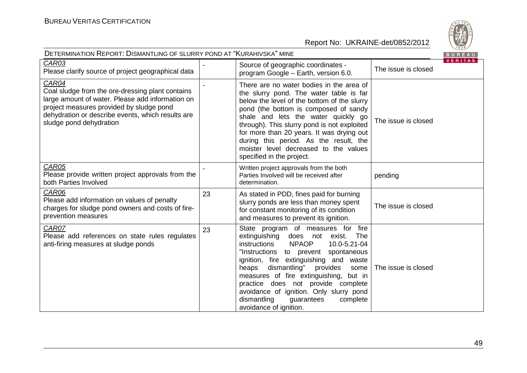

| <b>DETERMINATION REPORT: DISMANTLING OF SLURRY POND AT "KURAHIVSKA" MINE</b>                                                                                                                                                              |    |                                                                                                                                                                                                                                                                                                                                                                                                                                                               |                     |                |  |
|-------------------------------------------------------------------------------------------------------------------------------------------------------------------------------------------------------------------------------------------|----|---------------------------------------------------------------------------------------------------------------------------------------------------------------------------------------------------------------------------------------------------------------------------------------------------------------------------------------------------------------------------------------------------------------------------------------------------------------|---------------------|----------------|--|
| CAR03<br>Please clarify source of project geographical data                                                                                                                                                                               |    | Source of geographic coordinates -<br>program Google - Earth, version 6.0.                                                                                                                                                                                                                                                                                                                                                                                    | The issue is closed | <b>VERITAS</b> |  |
| CAR04<br>Coal sludge from the ore-dressing plant contains<br>large amount of water. Please add information on<br>project measures provided by sludge pond<br>dehydration or describe events, which results are<br>sludge pond dehydration |    | There are no water bodies in the area of<br>the slurry pond. The water table is far<br>below the level of the bottom of the slurry<br>pond (the bottom is composed of sandy<br>shale and lets the water quickly go<br>through). This slurry pond is not exploited<br>for more than 20 years. It was drying out<br>during this period. As the result, the<br>moister level decreased to the values<br>specified in the project.                                | The issue is closed |                |  |
| CAR05<br>Please provide written project approvals from the<br>both Parties Involved                                                                                                                                                       |    | Written project approvals from the both<br>Parties Involved will be received after<br>determination.                                                                                                                                                                                                                                                                                                                                                          | pending             |                |  |
| CAR06<br>Please add information on values of penalty<br>charges for sludge pond owners and costs of fire-<br>prevention measures                                                                                                          | 23 | As stated in PDD, fines paid for burning<br>slurry ponds are less than money spent<br>for constant monitoring of its condition<br>and measures to prevent its ignition.                                                                                                                                                                                                                                                                                       | The issue is closed |                |  |
| CAR07<br>Please add references on state rules regulates<br>anti-firing measures at sludge ponds                                                                                                                                           | 23 | State program of measures for fire<br>extinguishing<br>does not exist.<br>The<br><b>NPAOP</b><br>instructions<br>10.0-5.21-04<br>"Instructions to prevent spontaneous<br>ignition, fire extinguishing and<br>waste<br>dismantling"<br>heaps<br>provides<br>some<br>measures of fire extinguishing, but in<br>practice does not provide complete<br>avoidance of ignition. Only slurry pond<br>dismantling<br>guarantees<br>complete<br>avoidance of ignition. | The issue is closed |                |  |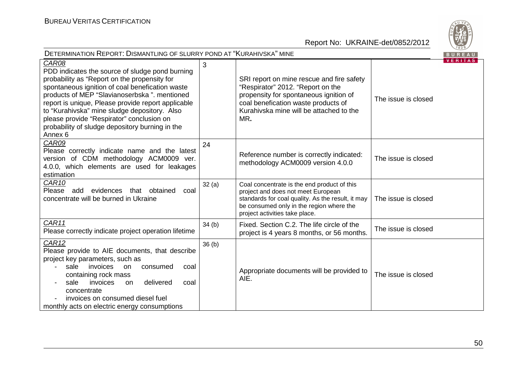

| DETERMINATION REPORT: DISMANTLING OF SLURRY POND AT "KURAHIVSKA" MINE                                                                                                                                                                                                                                                                                                                                                                   |       |                                                                                                                                                                                                                      |                     |                |
|-----------------------------------------------------------------------------------------------------------------------------------------------------------------------------------------------------------------------------------------------------------------------------------------------------------------------------------------------------------------------------------------------------------------------------------------|-------|----------------------------------------------------------------------------------------------------------------------------------------------------------------------------------------------------------------------|---------------------|----------------|
| CAR08<br>PDD indicates the source of sludge pond burning<br>probability as "Report on the propensity for<br>spontaneous ignition of coal benefication waste<br>products of MEP "Slavianoserbska". mentioned<br>report is unique, Please provide report applicable<br>to "Kurahivska" mine sludge depository. Also<br>please provide "Respirator" conclusion on<br>probability of sludge depository burning in the<br>Annex <sub>6</sub> | 3     | SRI report on mine rescue and fire safety<br>"Respirator" 2012. "Report on the<br>propensity for spontaneous ignition of<br>coal benefication waste products of<br>Kurahivska mine will be attached to the<br>MR.    | The issue is closed | <b>VERITAS</b> |
| CAR09<br>Please correctly indicate name and the latest<br>version of CDM methodology ACM0009 ver.<br>4.0.0, which elements are used for leakages<br>estimation                                                                                                                                                                                                                                                                          | 24    | Reference number is correctly indicated:<br>methodology ACM0009 version 4.0.0                                                                                                                                        | The issue is closed |                |
| CAR <sub>10</sub><br>Please add evidences that obtained<br>coal<br>concentrate will be burned in Ukraine                                                                                                                                                                                                                                                                                                                                | 32(a) | Coal concentrate is the end product of this<br>project and does not meet European<br>standards for coal quality. As the result, it may<br>be consumed only in the region where the<br>project activities take place. | The issue is closed |                |
| CAR11<br>Please correctly indicate project operation lifetime                                                                                                                                                                                                                                                                                                                                                                           | 34(b) | Fixed. Section C.2. The life circle of the<br>project is 4 years 8 months, or 56 months.                                                                                                                             | The issue is closed |                |
| CAR12<br>Please provide to AIE documents, that describe<br>project key parameters, such as<br>invoices<br>sale<br>consumed<br>on<br>coal<br>containing rock mass<br>invoices<br>delivered<br>sale<br>on<br>coal<br>concentrate<br>invoices on consumed diesel fuel<br>monthly acts on electric energy consumptions                                                                                                                      | 36(b) | Appropriate documents will be provided to<br>AIE.                                                                                                                                                                    | The issue is closed |                |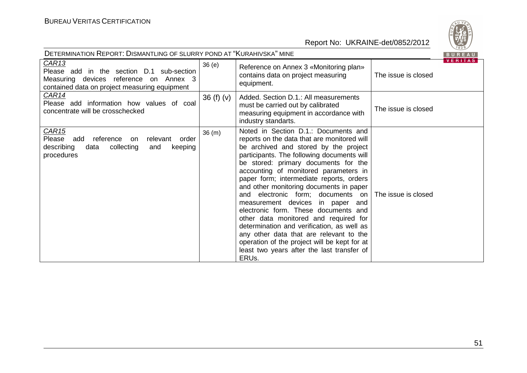

| DETERMINATION REPORT: DISMANTLING OF SLURRY POND AT "KURAHIVSKA" MINE<br>BUREAU                                                                           |             |                                                                                                                                                                                                                                                                                                                                                                                                                                                                                                                                                                                                                                                                                                                                 |                     |         |  |
|-----------------------------------------------------------------------------------------------------------------------------------------------------------|-------------|---------------------------------------------------------------------------------------------------------------------------------------------------------------------------------------------------------------------------------------------------------------------------------------------------------------------------------------------------------------------------------------------------------------------------------------------------------------------------------------------------------------------------------------------------------------------------------------------------------------------------------------------------------------------------------------------------------------------------------|---------------------|---------|--|
| CAR <sub>13</sub><br>Please add in the section D.1 sub-section<br>Measuring devices reference on Annex 3<br>contained data on project measuring equipment | 36(e)       | Reference on Annex 3 «Monitoring plan»<br>contains data on project measuring<br>equipment.                                                                                                                                                                                                                                                                                                                                                                                                                                                                                                                                                                                                                                      | The issue is closed | VERITAS |  |
| CAR14<br>Please add information how values of coal<br>concentrate will be crosschecked                                                                    | 36 $(f)(v)$ | Added. Section D.1.: All measurements<br>must be carried out by calibrated<br>measuring equipment in accordance with<br>industry standarts.                                                                                                                                                                                                                                                                                                                                                                                                                                                                                                                                                                                     | The issue is closed |         |  |
| CAR <sub>15</sub><br>Please add reference<br>order<br>relevant<br>on<br>describing<br>collecting<br>data<br>and<br>keeping<br>procedures                  | 36(m)       | Noted in Section D.1.: Documents and<br>reports on the data that are monitored will<br>be archived and stored by the project<br>participants. The following documents will<br>be stored: primary documents for the<br>accounting of monitored parameters in<br>paper form; intermediate reports, orders<br>and other monitoring documents in paper<br>electronic form; documents on<br>and<br>measurement devices<br>in paper and<br>electronic form. These documents and<br>other data monitored and required for<br>determination and verification, as well as<br>any other data that are relevant to the<br>operation of the project will be kept for at<br>least two years after the last transfer of<br>ERU <sub>s</sub> . | The issue is closed |         |  |